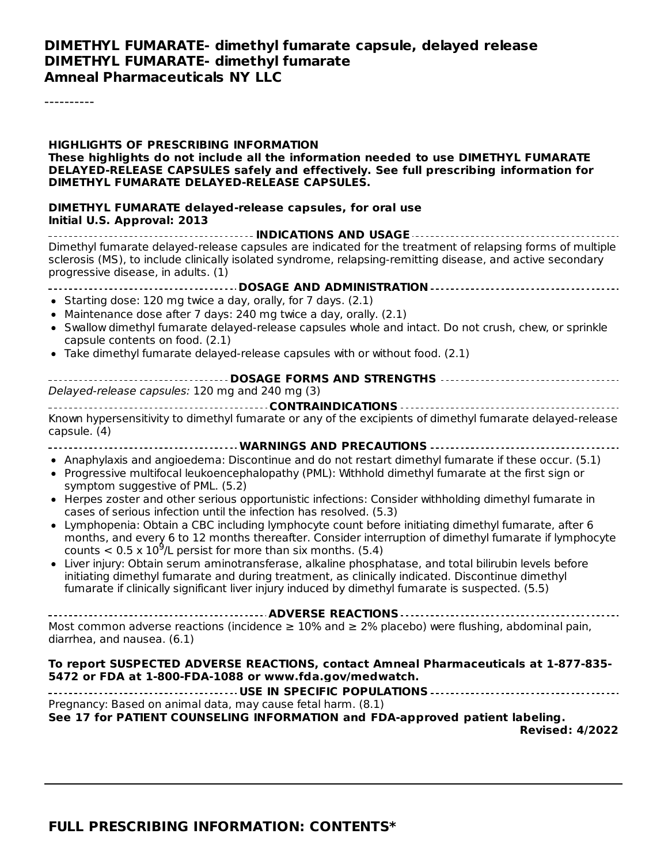#### **DIMETHYL FUMARATE- dimethyl fumarate capsule, delayed release DIMETHYL FUMARATE- dimethyl fumarate Amneal Pharmaceuticals NY LLC**

----------

| DELAYED-RELEASE CAPSULES safely and effectively. See full prescribing information for<br>DIMETHYL FUMARATE DELAYED-RELEASE CAPSULES.<br>DIMETHYL FUMARATE delayed-release capsules, for oral use<br>Initial U.S. Approval: 2013                                                                                                                                                                                                                                                                                                                                                                                                                                          |
|--------------------------------------------------------------------------------------------------------------------------------------------------------------------------------------------------------------------------------------------------------------------------------------------------------------------------------------------------------------------------------------------------------------------------------------------------------------------------------------------------------------------------------------------------------------------------------------------------------------------------------------------------------------------------|
| INDICATIONS AND USAGE<br>Dimethyl fumarate delayed-release capsules are indicated for the treatment of relapsing forms of multiple<br>sclerosis (MS), to include clinically isolated syndrome, relapsing-remitting disease, and active secondary<br>progressive disease, in adults. (1)                                                                                                                                                                                                                                                                                                                                                                                  |
| • Starting dose: 120 mg twice a day, orally, for 7 days. (2.1)<br>Maintenance dose after 7 days: 240 mg twice a day, orally. (2.1)<br>Swallow dimethyl fumarate delayed-release capsules whole and intact. Do not crush, chew, or sprinkle<br>capsule contents on food. (2.1)<br>• Take dimethyl fumarate delayed-release capsules with or without food. (2.1)                                                                                                                                                                                                                                                                                                           |
| ---------------------------- DOSAGE FORMS AND STRENGTHS -------------------------------<br>Delayed-release capsules: 120 mg and 240 mg (3)                                                                                                                                                                                                                                                                                                                                                                                                                                                                                                                               |
| Known hypersensitivity to dimethyl fumarate or any of the excipients of dimethyl fumarate delayed-release<br>capsule. (4)                                                                                                                                                                                                                                                                                                                                                                                                                                                                                                                                                |
| WARNINGS AND PRECAUTIONS<br>• Anaphylaxis and angioedema: Discontinue and do not restart dimethyl fumarate if these occur. (5.1)<br>• Progressive multifocal leukoencephalopathy (PML): Withhold dimethyl fumarate at the first sign or<br>symptom suggestive of PML. (5.2)<br>• Herpes zoster and other serious opportunistic infections: Consider withholding dimethyl fumarate in<br>cases of serious infection until the infection has resolved. (5.3)<br>Lymphopenia: Obtain a CBC including lymphocyte count before initiating dimethyl fumarate, after 6<br>months, and every 6 to 12 months thereafter. Consider interruption of dimethyl fumarate if lymphocyte |
| counts $< 0.5 \times 10^9$ /L persist for more than six months. (5.4)<br>Liver injury: Obtain serum aminotransferase, alkaline phosphatase, and total bilirubin levels before<br>initiating dimethyl fumarate and during treatment, as clinically indicated. Discontinue dimethyl<br>fumarate if clinically significant liver injury induced by dimethyl fumarate is suspected. (5.5)                                                                                                                                                                                                                                                                                    |
| Most common adverse reactions (incidence $\geq 10\%$ and $\geq 2\%$ placebo) were flushing, abdominal pain,<br>diarrhea, and nausea. (6.1)                                                                                                                                                                                                                                                                                                                                                                                                                                                                                                                               |
| To report SUSPECTED ADVERSE REACTIONS, contact Amneal Pharmaceuticals at 1-877-835-<br>5472 or FDA at 1-800-FDA-1088 or www.fda.gov/medwatch.                                                                                                                                                                                                                                                                                                                                                                                                                                                                                                                            |
| Pregnancy: Based on animal data, may cause fetal harm. (8.1)<br>See 17 for PATIENT COUNSELING INFORMATION and FDA-approved patient labeling.<br><b>Revised: 4/2022</b>                                                                                                                                                                                                                                                                                                                                                                                                                                                                                                   |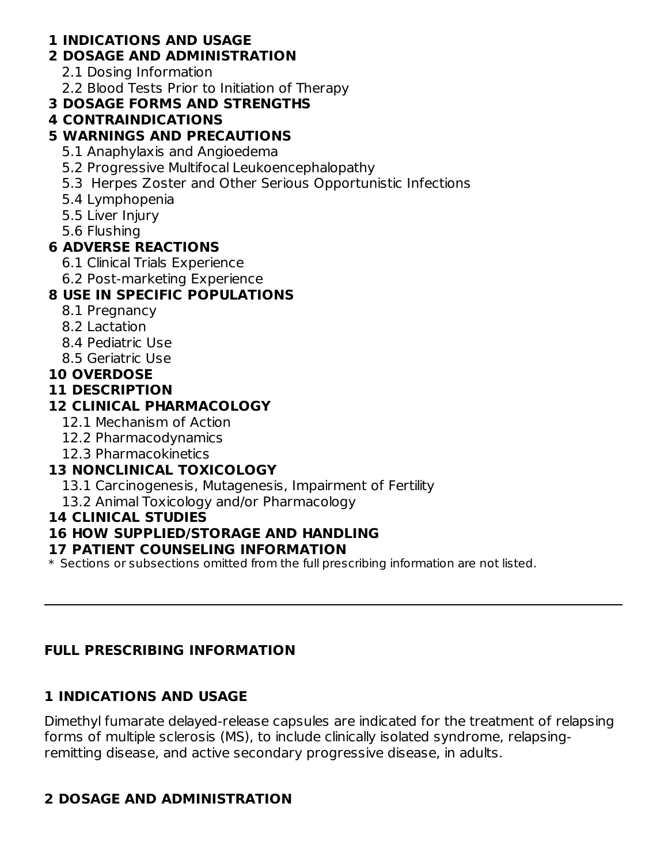## **1 INDICATIONS AND USAGE**

## **2 DOSAGE AND ADMINISTRATION**

- 2.1 Dosing Information
- 2.2 Blood Tests Prior to Initiation of Therapy

## **3 DOSAGE FORMS AND STRENGTHS**

## **4 CONTRAINDICATIONS**

## **5 WARNINGS AND PRECAUTIONS**

- 5.1 Anaphylaxis and Angioedema
- 5.2 Progressive Multifocal Leukoencephalopathy
- 5.3 Herpes Zoster and Other Serious Opportunistic Infections
- 5.4 Lymphopenia
- 5.5 Liver Injury
- 5.6 Flushing

## **6 ADVERSE REACTIONS**

- 6.1 Clinical Trials Experience
- 6.2 Post-marketing Experience

## **8 USE IN SPECIFIC POPULATIONS**

- 8.1 Pregnancy
- 8.2 Lactation
- 8.4 Pediatric Use
- 8.5 Geriatric Use
- **10 OVERDOSE**
- **11 DESCRIPTION**

## **12 CLINICAL PHARMACOLOGY**

- 12.1 Mechanism of Action
- 12.2 Pharmacodynamics
- 12.3 Pharmacokinetics

## **13 NONCLINICAL TOXICOLOGY**

13.1 Carcinogenesis, Mutagenesis, Impairment of Fertility

## 13.2 Animal Toxicology and/or Pharmacology

### **14 CLINICAL STUDIES**

## **16 HOW SUPPLIED/STORAGE AND HANDLING**

### **17 PATIENT COUNSELING INFORMATION**

 $\ast$  Sections or subsections omitted from the full prescribing information are not listed.

## **FULL PRESCRIBING INFORMATION**

## **1 INDICATIONS AND USAGE**

Dimethyl fumarate delayed-release capsules are indicated for the treatment of relapsing forms of multiple sclerosis (MS), to include clinically isolated syndrome, relapsingremitting disease, and active secondary progressive disease, in adults.

## **2 DOSAGE AND ADMINISTRATION**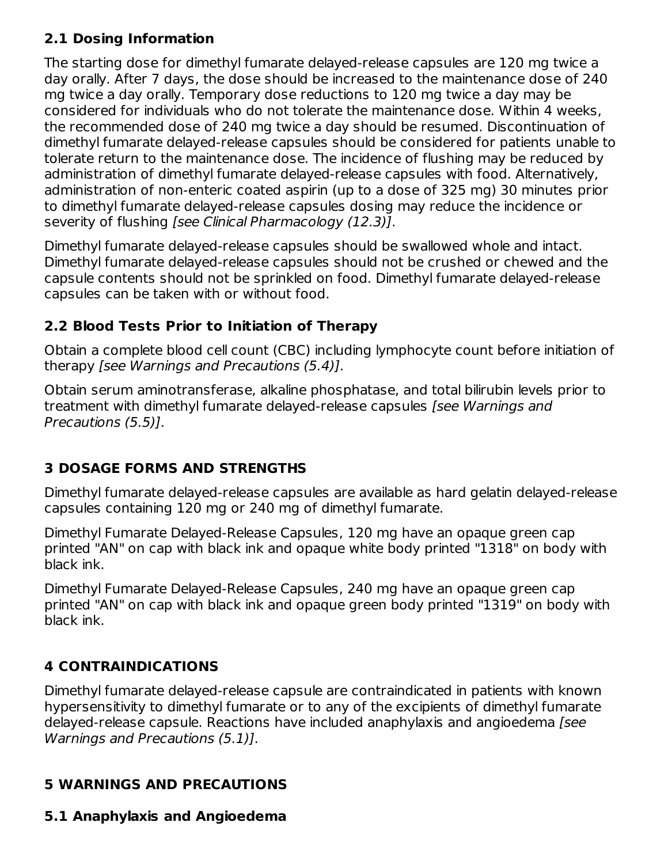## **2.1 Dosing Information**

The starting dose for dimethyl fumarate delayed-release capsules are 120 mg twice a day orally. After 7 days, the dose should be increased to the maintenance dose of 240 mg twice a day orally. Temporary dose reductions to 120 mg twice a day may be considered for individuals who do not tolerate the maintenance dose. Within 4 weeks, the recommended dose of 240 mg twice a day should be resumed. Discontinuation of dimethyl fumarate delayed-release capsules should be considered for patients unable to tolerate return to the maintenance dose. The incidence of flushing may be reduced by administration of dimethyl fumarate delayed-release capsules with food. Alternatively, administration of non-enteric coated aspirin (up to a dose of 325 mg) 30 minutes prior to dimethyl fumarate delayed-release capsules dosing may reduce the incidence or severity of flushing [see Clinical Pharmacology (12.3)].

Dimethyl fumarate delayed-release capsules should be swallowed whole and intact. Dimethyl fumarate delayed-release capsules should not be crushed or chewed and the capsule contents should not be sprinkled on food. Dimethyl fumarate delayed-release capsules can be taken with or without food.

## **2.2 Blood Tests Prior to Initiation of Therapy**

Obtain a complete blood cell count (CBC) including lymphocyte count before initiation of therapy [see Warnings and Precautions (5.4)].

Obtain serum aminotransferase, alkaline phosphatase, and total bilirubin levels prior to treatment with dimethyl fumarate delayed-release capsules *[see Warnings and* Precautions (5.5)].

## **3 DOSAGE FORMS AND STRENGTHS**

Dimethyl fumarate delayed-release capsules are available as hard gelatin delayed-release capsules containing 120 mg or 240 mg of dimethyl fumarate.

Dimethyl Fumarate Delayed-Release Capsules, 120 mg have an opaque green cap printed "AN" on cap with black ink and opaque white body printed "1318" on body with black ink.

Dimethyl Fumarate Delayed-Release Capsules, 240 mg have an opaque green cap printed "AN" on cap with black ink and opaque green body printed "1319" on body with black ink.

## **4 CONTRAINDICATIONS**

Dimethyl fumarate delayed-release capsule are contraindicated in patients with known hypersensitivity to dimethyl fumarate or to any of the excipients of dimethyl fumarate delayed-release capsule. Reactions have included anaphylaxis and angioedema [see Warnings and Precautions (5.1)].

## **5 WARNINGS AND PRECAUTIONS**

## **5.1 Anaphylaxis and Angioedema**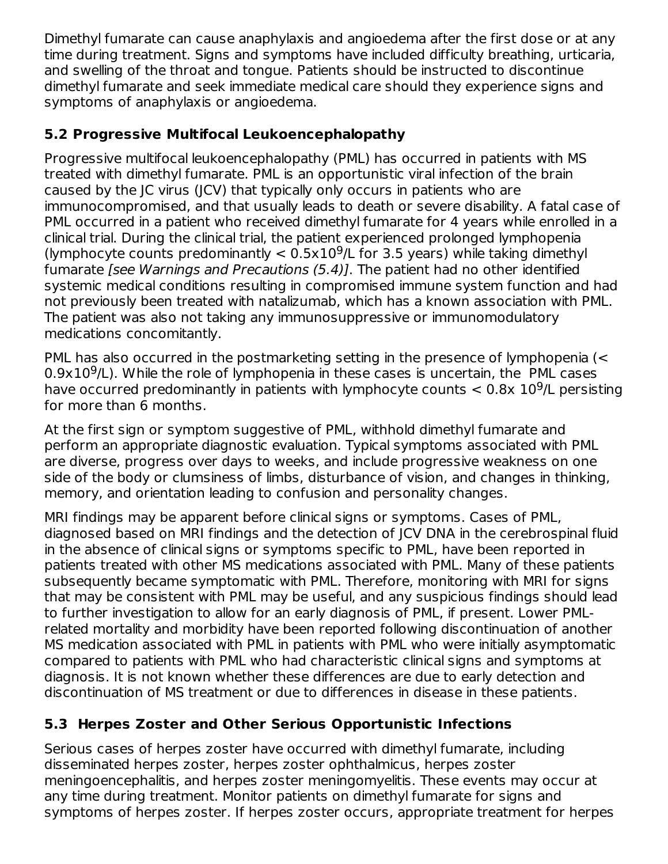Dimethyl fumarate can cause anaphylaxis and angioedema after the first dose or at any time during treatment. Signs and symptoms have included difficulty breathing, urticaria, and swelling of the throat and tongue. Patients should be instructed to discontinue dimethyl fumarate and seek immediate medical care should they experience signs and symptoms of anaphylaxis or angioedema.

## **5.2 Progressive Multifocal Leukoencephalopathy**

Progressive multifocal leukoencephalopathy (PML) has occurred in patients with MS treated with dimethyl fumarate. PML is an opportunistic viral infection of the brain caused by the JC virus (JCV) that typically only occurs in patients who are immunocompromised, and that usually leads to death or severe disability. A fatal case of PML occurred in a patient who received dimethyl fumarate for 4 years while enrolled in a clinical trial. During the clinical trial, the patient experienced prolonged lymphopenia (lymphocyte counts predominantly  $< 0.5 \times 10^9$ /L for 3.5 years) while taking dimethyl fumarate [see Warnings and Precautions (5.4)]. The patient had no other identified systemic medical conditions resulting in compromised immune system function and had not previously been treated with natalizumab, which has a known association with PML. The patient was also not taking any immunosuppressive or immunomodulatory medications concomitantly.

PML has also occurred in the postmarketing setting in the presence of lymphopenia (<  $0.9 \times 10^9$ /L). While the role of lymphopenia in these cases is uncertain, the PML cases have occurred predominantly in patients with lymphocyte counts  $<$  0.8x 10<sup>9</sup>/L persisting for more than 6 months.

At the first sign or symptom suggestive of PML, withhold dimethyl fumarate and perform an appropriate diagnostic evaluation. Typical symptoms associated with PML are diverse, progress over days to weeks, and include progressive weakness on one side of the body or clumsiness of limbs, disturbance of vision, and changes in thinking, memory, and orientation leading to confusion and personality changes.

MRI findings may be apparent before clinical signs or symptoms. Cases of PML, diagnosed based on MRI findings and the detection of JCV DNA in the cerebrospinal fluid in the absence of clinical signs or symptoms specific to PML, have been reported in patients treated with other MS medications associated with PML. Many of these patients subsequently became symptomatic with PML. Therefore, monitoring with MRI for signs that may be consistent with PML may be useful, and any suspicious findings should lead to further investigation to allow for an early diagnosis of PML, if present. Lower PMLrelated mortality and morbidity have been reported following discontinuation of another MS medication associated with PML in patients with PML who were initially asymptomatic compared to patients with PML who had characteristic clinical signs and symptoms at diagnosis. It is not known whether these differences are due to early detection and discontinuation of MS treatment or due to differences in disease in these patients.

## **5.3 Herpes Zoster and Other Serious Opportunistic Infections**

Serious cases of herpes zoster have occurred with dimethyl fumarate, including disseminated herpes zoster, herpes zoster ophthalmicus, herpes zoster meningoencephalitis, and herpes zoster meningomyelitis. These events may occur at any time during treatment. Monitor patients on dimethyl fumarate for signs and symptoms of herpes zoster. If herpes zoster occurs, appropriate treatment for herpes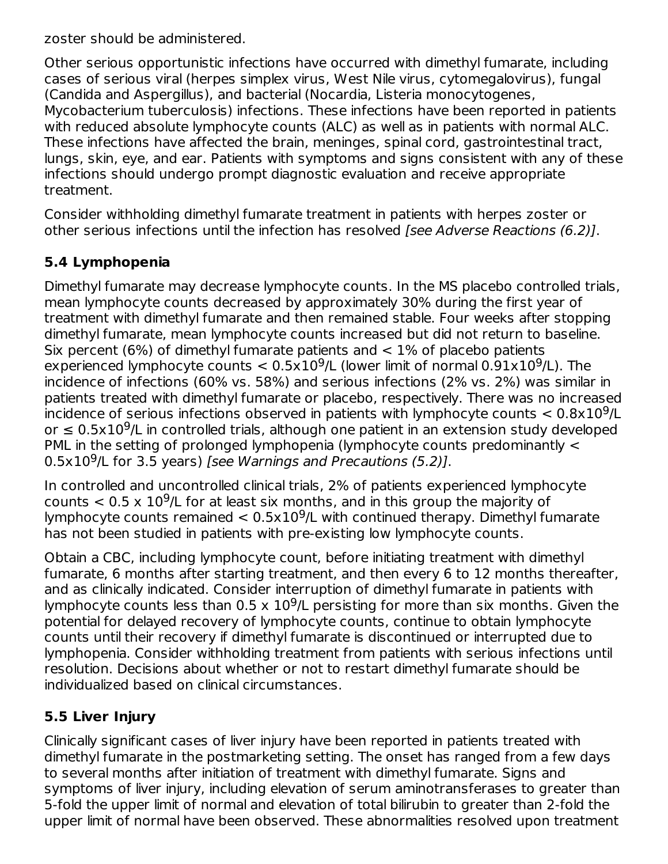zoster should be administered.

Other serious opportunistic infections have occurred with dimethyl fumarate, including cases of serious viral (herpes simplex virus, West Nile virus, cytomegalovirus), fungal (Candida and Aspergillus), and bacterial (Nocardia, Listeria monocytogenes, Mycobacterium tuberculosis) infections. These infections have been reported in patients with reduced absolute lymphocyte counts (ALC) as well as in patients with normal ALC. These infections have affected the brain, meninges, spinal cord, gastrointestinal tract, lungs, skin, eye, and ear. Patients with symptoms and signs consistent with any of these infections should undergo prompt diagnostic evaluation and receive appropriate treatment.

Consider withholding dimethyl fumarate treatment in patients with herpes zoster or other serious infections until the infection has resolved *[see Adverse Reactions (6.2)]*.

## **5.4 Lymphopenia**

Dimethyl fumarate may decrease lymphocyte counts. In the MS placebo controlled trials, mean lymphocyte counts decreased by approximately 30% during the first year of treatment with dimethyl fumarate and then remained stable. Four weeks after stopping dimethyl fumarate, mean lymphocyte counts increased but did not return to baseline. Six percent (6%) of dimethyl fumarate patients and  $<$  1% of placebo patients experienced lymphocyte counts  $< 0.5x10<sup>9</sup>/L$  (lower limit of normal  $0.91x10<sup>9</sup>/L$ ). The incidence of infections (60% vs. 58%) and serious infections (2% vs. 2%) was similar in patients treated with dimethyl fumarate or placebo, respectively. There was no increased incidence of serious infections observed in patients with lymphocyte counts  $< 0.8 \times 10^9$ /L or  $\leq$  0.5x10<sup>9</sup>/L in controlled trials, although one patient in an extension study developed PML in the setting of prolonged lymphopenia (lymphocyte counts predominantly <  $0.5 \times 10^9$ /L for 3.5 years) [see Warnings and Precautions (5.2)].

In controlled and uncontrolled clinical trials, 2% of patients experienced lymphocyte counts  $< 0.5 \times 10^9$ /L for at least six months, and in this group the majority of lymphocyte counts remained  $< 0.5 \times 10^9$ /L with continued therapy. Dimethyl fumarate has not been studied in patients with pre-existing low lymphocyte counts.

Obtain a CBC, including lymphocyte count, before initiating treatment with dimethyl fumarate, 6 months after starting treatment, and then every 6 to 12 months thereafter, and as clinically indicated. Consider interruption of dimethyl fumarate in patients with lymphocyte counts less than  $0.5 \times 10^9$ /L persisting for more than six months. Given the potential for delayed recovery of lymphocyte counts, continue to obtain lymphocyte counts until their recovery if dimethyl fumarate is discontinued or interrupted due to lymphopenia. Consider withholding treatment from patients with serious infections until resolution. Decisions about whether or not to restart dimethyl fumarate should be individualized based on clinical circumstances.

### **5.5 Liver Injury**

Clinically significant cases of liver injury have been reported in patients treated with dimethyl fumarate in the postmarketing setting. The onset has ranged from a few days to several months after initiation of treatment with dimethyl fumarate. Signs and symptoms of liver injury, including elevation of serum aminotransferases to greater than 5-fold the upper limit of normal and elevation of total bilirubin to greater than 2-fold the upper limit of normal have been observed. These abnormalities resolved upon treatment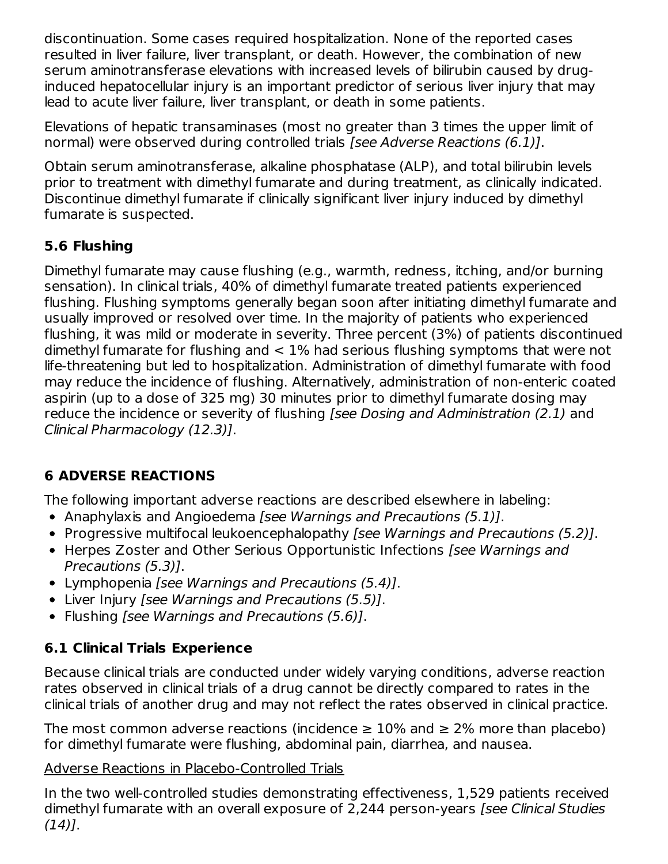discontinuation. Some cases required hospitalization. None of the reported cases resulted in liver failure, liver transplant, or death. However, the combination of new serum aminotransferase elevations with increased levels of bilirubin caused by druginduced hepatocellular injury is an important predictor of serious liver injury that may lead to acute liver failure, liver transplant, or death in some patients.

Elevations of hepatic transaminases (most no greater than 3 times the upper limit of normal) were observed during controlled trials [see Adverse Reactions (6.1)].

Obtain serum aminotransferase, alkaline phosphatase (ALP), and total bilirubin levels prior to treatment with dimethyl fumarate and during treatment, as clinically indicated. Discontinue dimethyl fumarate if clinically significant liver injury induced by dimethyl fumarate is suspected.

## **5.6 Flushing**

Dimethyl fumarate may cause flushing (e.g., warmth, redness, itching, and/or burning sensation). In clinical trials, 40% of dimethyl fumarate treated patients experienced flushing. Flushing symptoms generally began soon after initiating dimethyl fumarate and usually improved or resolved over time. In the majority of patients who experienced flushing, it was mild or moderate in severity. Three percent (3%) of patients discontinued dimethyl fumarate for flushing and < 1% had serious flushing symptoms that were not life-threatening but led to hospitalization. Administration of dimethyl fumarate with food may reduce the incidence of flushing. Alternatively, administration of non-enteric coated aspirin (up to a dose of 325 mg) 30 minutes prior to dimethyl fumarate dosing may reduce the incidence or severity of flushing [see Dosing and Administration (2.1) and Clinical Pharmacology (12.3)].

## **6 ADVERSE REACTIONS**

The following important adverse reactions are described elsewhere in labeling:

- Anaphylaxis and Angioedema [see Warnings and Precautions (5.1)].
- Progressive multifocal leukoencephalopathy [see Warnings and Precautions (5.2)].
- Herpes Zoster and Other Serious Opportunistic Infections [see Warnings and Precautions (5.3)].
- Lymphopenia [see Warnings and Precautions (5.4)].
- Liver Injury [see Warnings and Precautions (5.5)].
- Flushing *[see Warnings and Precautions (5.6)]*.

## **6.1 Clinical Trials Experience**

Because clinical trials are conducted under widely varying conditions, adverse reaction rates observed in clinical trials of a drug cannot be directly compared to rates in the clinical trials of another drug and may not reflect the rates observed in clinical practice.

The most common adverse reactions (incidence  $\geq 10\%$  and  $\geq 2\%$  more than placebo) for dimethyl fumarate were flushing, abdominal pain, diarrhea, and nausea.

#### Adverse Reactions in Placebo-Controlled Trials

In the two well-controlled studies demonstrating effectiveness, 1,529 patients received dimethyl fumarate with an overall exposure of 2,244 person-years [see Clinical Studies  $(14)$ ].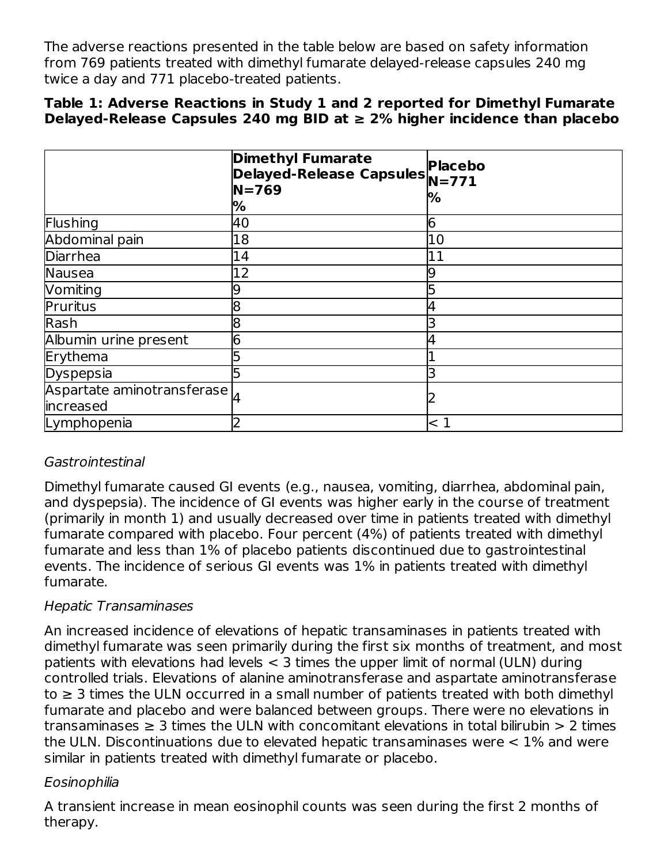The adverse reactions presented in the table below are based on safety information from 769 patients treated with dimethyl fumarate delayed-release capsules 240 mg twice a day and 771 placebo-treated patients.

#### **Table 1: Adverse Reactions in Study 1 and 2 reported for Dimethyl Fumarate Delayed-Release Capsules 240 mg BID at ≥ 2% higher incidence than placebo**

|                                                                             | <b>Dimethyl Fumarate</b><br><b>Dimethyl Fumarate<br/>Delayed-Release Capsules</b><br>N 760<br>$N = 769$<br>% | %   |
|-----------------------------------------------------------------------------|--------------------------------------------------------------------------------------------------------------|-----|
| Flushing                                                                    | 40                                                                                                           | 6   |
| Abdominal pain                                                              | 18                                                                                                           | 10  |
| Diarrhea                                                                    | 14                                                                                                           | 11  |
| <b>Nausea</b>                                                               | 12                                                                                                           |     |
| Vomiting                                                                    | 19                                                                                                           |     |
| Pruritus                                                                    | 18                                                                                                           |     |
| Rash                                                                        | 18                                                                                                           |     |
| Albumin urine present                                                       |                                                                                                              |     |
| Erythema                                                                    |                                                                                                              |     |
| Dyspepsia                                                                   |                                                                                                              |     |
| $\overline{ {\mathsf{Aspartate}} }$ aminotransferase $\vert_4$<br>increased |                                                                                                              |     |
| Lymphopenia                                                                 |                                                                                                              | < 1 |

### Gastrointestinal

Dimethyl fumarate caused GI events (e.g., nausea, vomiting, diarrhea, abdominal pain, and dyspepsia). The incidence of GI events was higher early in the course of treatment (primarily in month 1) and usually decreased over time in patients treated with dimethyl fumarate compared with placebo. Four percent (4%) of patients treated with dimethyl fumarate and less than 1% of placebo patients discontinued due to gastrointestinal events. The incidence of serious GI events was 1% in patients treated with dimethyl fumarate.

### Hepatic Transaminases

An increased incidence of elevations of hepatic transaminases in patients treated with dimethyl fumarate was seen primarily during the first six months of treatment, and most patients with elevations had levels < 3 times the upper limit of normal (ULN) during controlled trials. Elevations of alanine aminotransferase and aspartate aminotransferase to  $\geq$  3 times the ULN occurred in a small number of patients treated with both dimethyl fumarate and placebo and were balanced between groups. There were no elevations in transaminases  $\geq 3$  times the ULN with concomitant elevations in total bilirubin  $> 2$  times the ULN. Discontinuations due to elevated hepatic transaminases were < 1% and were similar in patients treated with dimethyl fumarate or placebo.

### Eosinophilia

A transient increase in mean eosinophil counts was seen during the first 2 months of therapy.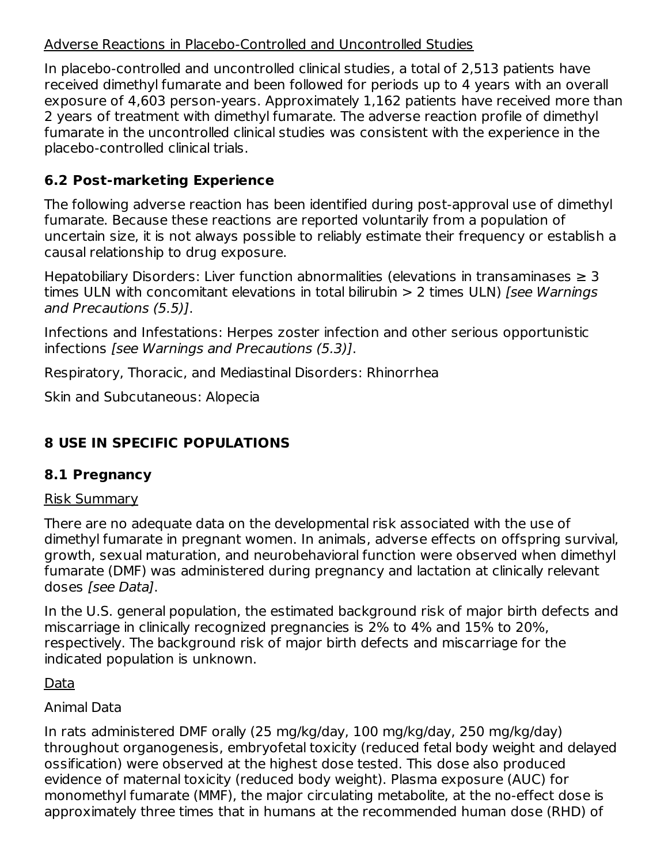### Adverse Reactions in Placebo-Controlled and Uncontrolled Studies

In placebo-controlled and uncontrolled clinical studies, a total of 2,513 patients have received dimethyl fumarate and been followed for periods up to 4 years with an overall exposure of 4,603 person-years. Approximately 1,162 patients have received more than 2 years of treatment with dimethyl fumarate. The adverse reaction profile of dimethyl fumarate in the uncontrolled clinical studies was consistent with the experience in the placebo-controlled clinical trials.

## **6.2 Post-marketing Experience**

The following adverse reaction has been identified during post-approval use of dimethyl fumarate. Because these reactions are reported voluntarily from a population of uncertain size, it is not always possible to reliably estimate their frequency or establish a causal relationship to drug exposure.

Hepatobiliary Disorders: Liver function abnormalities (elevations in transaminases  $\geq 3$ times ULN with concomitant elevations in total bilirubin  $> 2$  times ULN) [see Warnings] and Precautions (5.5)].

Infections and Infestations: Herpes zoster infection and other serious opportunistic infections [see Warnings and Precautions (5.3)].

Respiratory, Thoracic, and Mediastinal Disorders: Rhinorrhea

Skin and Subcutaneous: Alopecia

## **8 USE IN SPECIFIC POPULATIONS**

## **8.1 Pregnancy**

### Risk Summary

There are no adequate data on the developmental risk associated with the use of dimethyl fumarate in pregnant women. In animals, adverse effects on offspring survival, growth, sexual maturation, and neurobehavioral function were observed when dimethyl fumarate (DMF) was administered during pregnancy and lactation at clinically relevant doses [see Data].

In the U.S. general population, the estimated background risk of major birth defects and miscarriage in clinically recognized pregnancies is 2% to 4% and 15% to 20%, respectively. The background risk of major birth defects and miscarriage for the indicated population is unknown.

Data

### Animal Data

In rats administered DMF orally (25 mg/kg/day, 100 mg/kg/day, 250 mg/kg/day) throughout organogenesis, embryofetal toxicity (reduced fetal body weight and delayed ossification) were observed at the highest dose tested. This dose also produced evidence of maternal toxicity (reduced body weight). Plasma exposure (AUC) for monomethyl fumarate (MMF), the major circulating metabolite, at the no-effect dose is approximately three times that in humans at the recommended human dose (RHD) of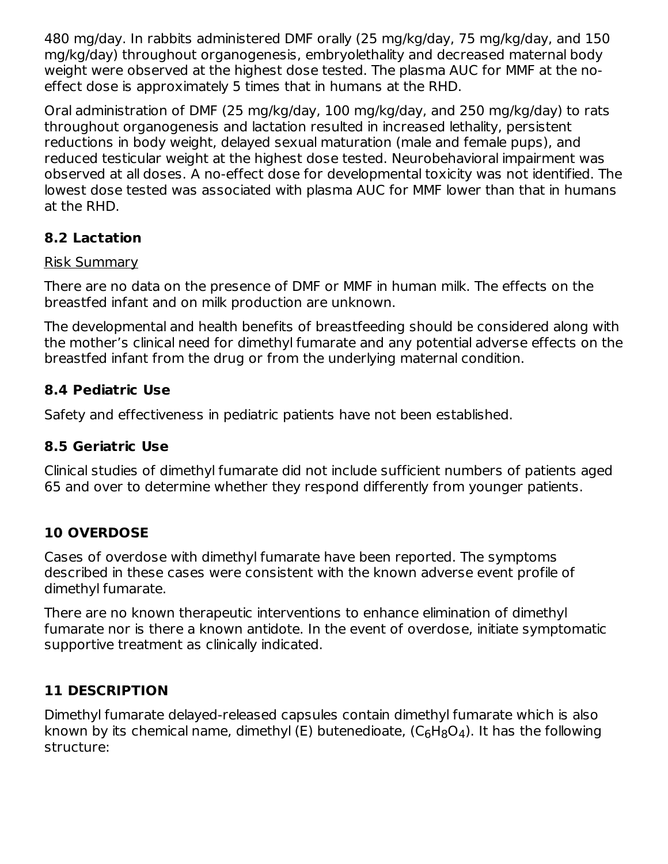480 mg/day. In rabbits administered DMF orally (25 mg/kg/day, 75 mg/kg/day, and 150 mg/kg/day) throughout organogenesis, embryolethality and decreased maternal body weight were observed at the highest dose tested. The plasma AUC for MMF at the noeffect dose is approximately 5 times that in humans at the RHD.

Oral administration of DMF (25 mg/kg/day, 100 mg/kg/day, and 250 mg/kg/day) to rats throughout organogenesis and lactation resulted in increased lethality, persistent reductions in body weight, delayed sexual maturation (male and female pups), and reduced testicular weight at the highest dose tested. Neurobehavioral impairment was observed at all doses. A no-effect dose for developmental toxicity was not identified. The lowest dose tested was associated with plasma AUC for MMF lower than that in humans at the RHD.

## **8.2 Lactation**

#### Risk Summary

There are no data on the presence of DMF or MMF in human milk. The effects on the breastfed infant and on milk production are unknown.

The developmental and health benefits of breastfeeding should be considered along with the mother's clinical need for dimethyl fumarate and any potential adverse effects on the breastfed infant from the drug or from the underlying maternal condition.

### **8.4 Pediatric Use**

Safety and effectiveness in pediatric patients have not been established.

#### **8.5 Geriatric Use**

Clinical studies of dimethyl fumarate did not include sufficient numbers of patients aged 65 and over to determine whether they respond differently from younger patients.

### **10 OVERDOSE**

Cases of overdose with dimethyl fumarate have been reported. The symptoms described in these cases were consistent with the known adverse event profile of dimethyl fumarate.

There are no known therapeutic interventions to enhance elimination of dimethyl fumarate nor is there a known antidote. In the event of overdose, initiate symptomatic supportive treatment as clinically indicated.

### **11 DESCRIPTION**

Dimethyl fumarate delayed-released capsules contain dimethyl fumarate which is also known by its chemical name, dimethyl (E) butenedioate, (C $_6$ H $_8$ O $_4$ ). It has the following structure: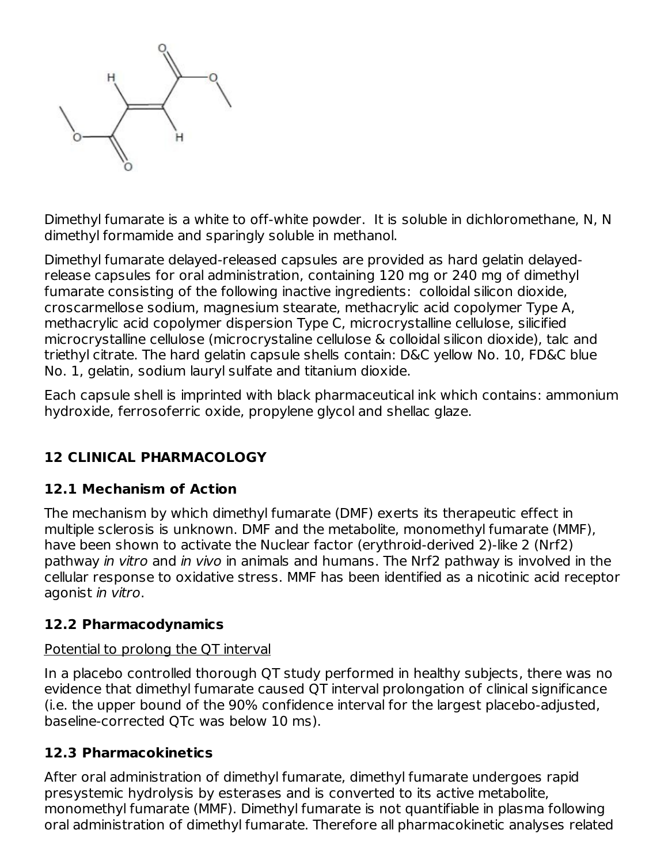

Dimethyl fumarate is a white to off-white powder. It is soluble in dichloromethane, N, N dimethyl formamide and sparingly soluble in methanol.

Dimethyl fumarate delayed-released capsules are provided as hard gelatin delayedrelease capsules for oral administration, containing 120 mg or 240 mg of dimethyl fumarate consisting of the following inactive ingredients: colloidal silicon dioxide, croscarmellose sodium, magnesium stearate, methacrylic acid copolymer Type A, methacrylic acid copolymer dispersion Type C, microcrystalline cellulose, silicified microcrystalline cellulose (microcrystaline cellulose & colloidal silicon dioxide), talc and triethyl citrate. The hard gelatin capsule shells contain: D&C yellow No. 10, FD&C blue No. 1, gelatin, sodium lauryl sulfate and titanium dioxide.

Each capsule shell is imprinted with black pharmaceutical ink which contains: ammonium hydroxide, ferrosoferric oxide, propylene glycol and shellac glaze.

## **12 CLINICAL PHARMACOLOGY**

### **12.1 Mechanism of Action**

The mechanism by which dimethyl fumarate (DMF) exerts its therapeutic effect in multiple sclerosis is unknown. DMF and the metabolite, monomethyl fumarate (MMF), have been shown to activate the Nuclear factor (erythroid-derived 2)-like 2 (Nrf2) pathway in vitro and in vivo in animals and humans. The Nrf2 pathway is involved in the cellular response to oxidative stress. MMF has been identified as a nicotinic acid receptor agonist in vitro.

#### **12.2 Pharmacodynamics**

#### Potential to prolong the QT interval

In a placebo controlled thorough QT study performed in healthy subjects, there was no evidence that dimethyl fumarate caused QT interval prolongation of clinical significance (i.e. the upper bound of the 90% confidence interval for the largest placebo-adjusted, baseline-corrected QTc was below 10 ms).

#### **12.3 Pharmacokinetics**

After oral administration of dimethyl fumarate, dimethyl fumarate undergoes rapid presystemic hydrolysis by esterases and is converted to its active metabolite, monomethyl fumarate (MMF). Dimethyl fumarate is not quantifiable in plasma following oral administration of dimethyl fumarate. Therefore all pharmacokinetic analyses related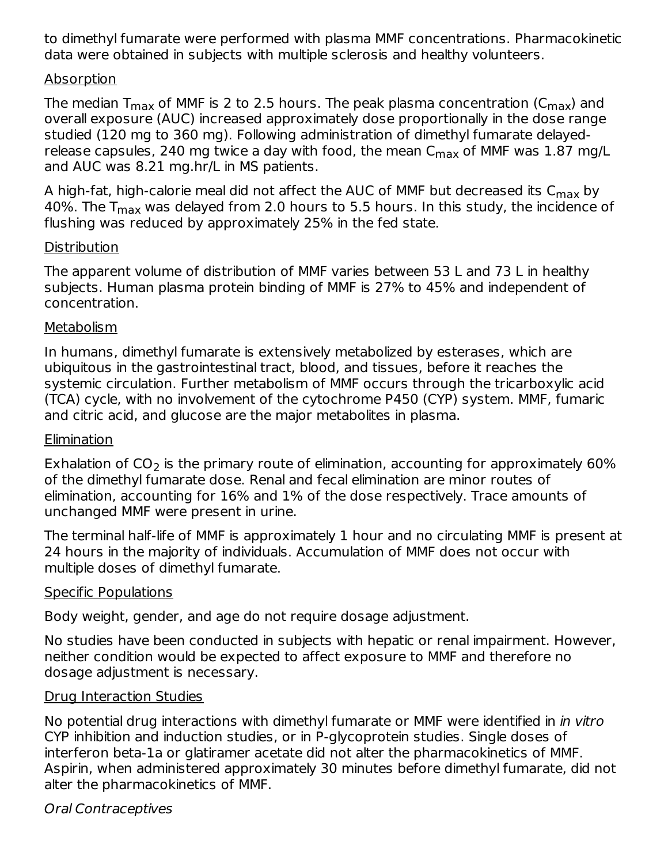to dimethyl fumarate were performed with plasma MMF concentrations. Pharmacokinetic data were obtained in subjects with multiple sclerosis and healthy volunteers.

#### Absorption

The median T $_{\sf max}$  of MMF is 2 to 2.5 hours. The peak plasma concentration (C $_{\sf max}$ ) and overall exposure (AUC) increased approximately dose proportionally in the dose range studied (120 mg to 360 mg). Following administration of dimethyl fumarate delayedrelease capsules, 240 mg twice a day with food, the mean C<sub>max</sub> of MMF was 1.87 mg/L and AUC was 8.21 mg.hr/L in MS patients.

A high-fat, high-calorie meal did not affect the AUC of MMF but decreased its  $\mathsf{C}_{\mathsf{max}}$  by 40%. The T<sub>max</sub> was delayed from 2.0 hours to 5.5 hours. In this study, the incidence of flushing was reduced by approximately 25% in the fed state.

#### **Distribution**

The apparent volume of distribution of MMF varies between 53 L and 73 L in healthy subjects. Human plasma protein binding of MMF is 27% to 45% and independent of concentration.

#### **Metabolism**

In humans, dimethyl fumarate is extensively metabolized by esterases, which are ubiquitous in the gastrointestinal tract, blood, and tissues, before it reaches the systemic circulation. Further metabolism of MMF occurs through the tricarboxylic acid (TCA) cycle, with no involvement of the cytochrome P450 (CYP) system. MMF, fumaric and citric acid, and glucose are the major metabolites in plasma.

#### **Elimination**

Exhalation of CO<sub>2</sub> is the primary route of elimination, accounting for approximately 60% of the dimethyl fumarate dose. Renal and fecal elimination are minor routes of elimination, accounting for 16% and 1% of the dose respectively. Trace amounts of unchanged MMF were present in urine.

The terminal half-life of MMF is approximately 1 hour and no circulating MMF is present at 24 hours in the majority of individuals. Accumulation of MMF does not occur with multiple doses of dimethyl fumarate.

#### Specific Populations

Body weight, gender, and age do not require dosage adjustment.

No studies have been conducted in subjects with hepatic or renal impairment. However, neither condition would be expected to affect exposure to MMF and therefore no dosage adjustment is necessary.

#### Drug Interaction Studies

No potential drug interactions with dimethyl fumarate or MMF were identified in in vitro CYP inhibition and induction studies, or in P-glycoprotein studies. Single doses of interferon beta-1a or glatiramer acetate did not alter the pharmacokinetics of MMF. Aspirin, when administered approximately 30 minutes before dimethyl fumarate, did not alter the pharmacokinetics of MMF.

#### Oral Contraceptives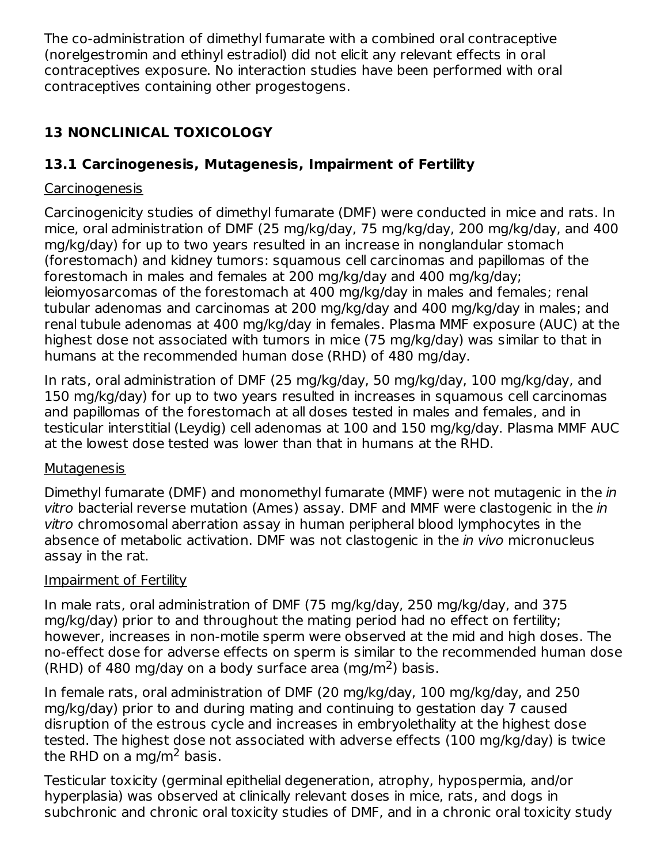The co-administration of dimethyl fumarate with a combined oral contraceptive (norelgestromin and ethinyl estradiol) did not elicit any relevant effects in oral contraceptives exposure. No interaction studies have been performed with oral contraceptives containing other progestogens.

## **13 NONCLINICAL TOXICOLOGY**

## **13.1 Carcinogenesis, Mutagenesis, Impairment of Fertility**

### Carcinogenesis

Carcinogenicity studies of dimethyl fumarate (DMF) were conducted in mice and rats. In mice, oral administration of DMF (25 mg/kg/day, 75 mg/kg/day, 200 mg/kg/day, and 400 mg/kg/day) for up to two years resulted in an increase in nonglandular stomach (forestomach) and kidney tumors: squamous cell carcinomas and papillomas of the forestomach in males and females at 200 mg/kg/day and 400 mg/kg/day; leiomyosarcomas of the forestomach at 400 mg/kg/day in males and females; renal tubular adenomas and carcinomas at 200 mg/kg/day and 400 mg/kg/day in males; and renal tubule adenomas at 400 mg/kg/day in females. Plasma MMF exposure (AUC) at the highest dose not associated with tumors in mice (75 mg/kg/day) was similar to that in humans at the recommended human dose (RHD) of 480 mg/day.

In rats, oral administration of DMF (25 mg/kg/day, 50 mg/kg/day, 100 mg/kg/day, and 150 mg/kg/day) for up to two years resulted in increases in squamous cell carcinomas and papillomas of the forestomach at all doses tested in males and females, and in testicular interstitial (Leydig) cell adenomas at 100 and 150 mg/kg/day. Plasma MMF AUC at the lowest dose tested was lower than that in humans at the RHD.

### **Mutagenesis**

Dimethyl fumarate (DMF) and monomethyl fumarate (MMF) were not mutagenic in the *in* vitro bacterial reverse mutation (Ames) assay. DMF and MMF were clastogenic in the in vitro chromosomal aberration assay in human peripheral blood lymphocytes in the absence of metabolic activation. DMF was not clastogenic in the *in vivo* micronucleus assay in the rat.

## Impairment of Fertility

In male rats, oral administration of DMF (75 mg/kg/day, 250 mg/kg/day, and 375 mg/kg/day) prior to and throughout the mating period had no effect on fertility; however, increases in non-motile sperm were observed at the mid and high doses. The no-effect dose for adverse effects on sperm is similar to the recommended human dose (RHD) of 480 mg/day on a body surface area (mg/m<sup>2</sup>) basis.

In female rats, oral administration of DMF (20 mg/kg/day, 100 mg/kg/day, and 250 mg/kg/day) prior to and during mating and continuing to gestation day 7 caused disruption of the estrous cycle and increases in embryolethality at the highest dose tested. The highest dose not associated with adverse effects (100 mg/kg/day) is twice the RHD on a mg/m<sup>2</sup> basis.

Testicular toxicity (germinal epithelial degeneration, atrophy, hypospermia, and/or hyperplasia) was observed at clinically relevant doses in mice, rats, and dogs in subchronic and chronic oral toxicity studies of DMF, and in a chronic oral toxicity study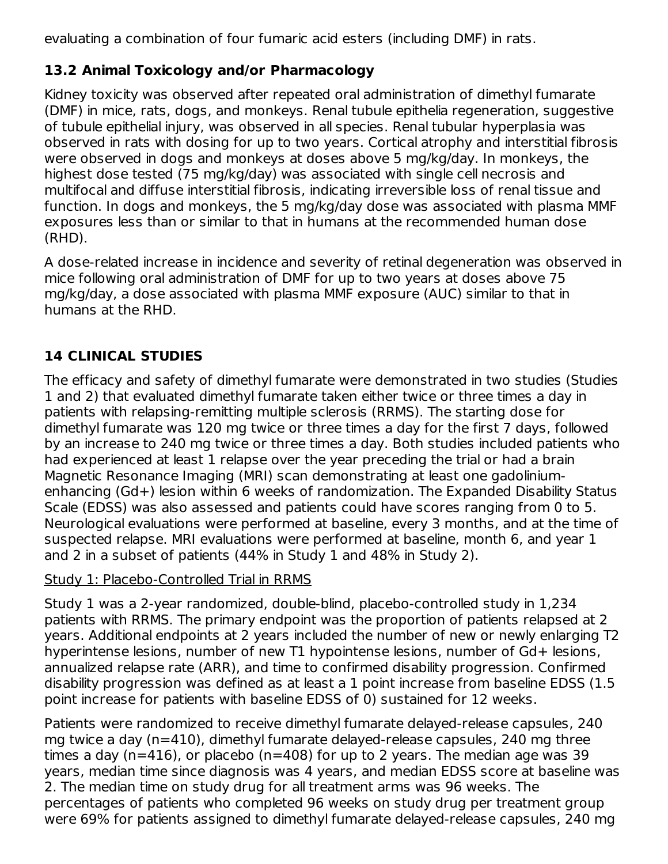evaluating a combination of four fumaric acid esters (including DMF) in rats.

## **13.2 Animal Toxicology and/or Pharmacology**

Kidney toxicity was observed after repeated oral administration of dimethyl fumarate (DMF) in mice, rats, dogs, and monkeys. Renal tubule epithelia regeneration, suggestive of tubule epithelial injury, was observed in all species. Renal tubular hyperplasia was observed in rats with dosing for up to two years. Cortical atrophy and interstitial fibrosis were observed in dogs and monkeys at doses above 5 mg/kg/day. In monkeys, the highest dose tested (75 mg/kg/day) was associated with single cell necrosis and multifocal and diffuse interstitial fibrosis, indicating irreversible loss of renal tissue and function. In dogs and monkeys, the 5 mg/kg/day dose was associated with plasma MMF exposures less than or similar to that in humans at the recommended human dose (RHD).

A dose-related increase in incidence and severity of retinal degeneration was observed in mice following oral administration of DMF for up to two years at doses above 75 mg/kg/day, a dose associated with plasma MMF exposure (AUC) similar to that in humans at the RHD.

## **14 CLINICAL STUDIES**

The efficacy and safety of dimethyl fumarate were demonstrated in two studies (Studies 1 and 2) that evaluated dimethyl fumarate taken either twice or three times a day in patients with relapsing-remitting multiple sclerosis (RRMS). The starting dose for dimethyl fumarate was 120 mg twice or three times a day for the first 7 days, followed by an increase to 240 mg twice or three times a day. Both studies included patients who had experienced at least 1 relapse over the year preceding the trial or had a brain Magnetic Resonance Imaging (MRI) scan demonstrating at least one gadoliniumenhancing (Gd+) lesion within 6 weeks of randomization. The Expanded Disability Status Scale (EDSS) was also assessed and patients could have scores ranging from 0 to 5. Neurological evaluations were performed at baseline, every 3 months, and at the time of suspected relapse. MRI evaluations were performed at baseline, month 6, and year 1 and 2 in a subset of patients (44% in Study 1 and 48% in Study 2).

#### Study 1: Placebo-Controlled Trial in RRMS

Study 1 was a 2-year randomized, double-blind, placebo-controlled study in 1,234 patients with RRMS. The primary endpoint was the proportion of patients relapsed at 2 years. Additional endpoints at 2 years included the number of new or newly enlarging T2 hyperintense lesions, number of new T1 hypointense lesions, number of Gd+ lesions, annualized relapse rate (ARR), and time to confirmed disability progression. Confirmed disability progression was defined as at least a 1 point increase from baseline EDSS (1.5 point increase for patients with baseline EDSS of 0) sustained for 12 weeks.

Patients were randomized to receive dimethyl fumarate delayed-release capsules, 240 mg twice a day (n=410), dimethyl fumarate delayed-release capsules, 240 mg three times a day ( $n=416$ ), or placebo ( $n=408$ ) for up to 2 years. The median age was 39 years, median time since diagnosis was 4 years, and median EDSS score at baseline was 2. The median time on study drug for all treatment arms was 96 weeks. The percentages of patients who completed 96 weeks on study drug per treatment group were 69% for patients assigned to dimethyl fumarate delayed-release capsules, 240 mg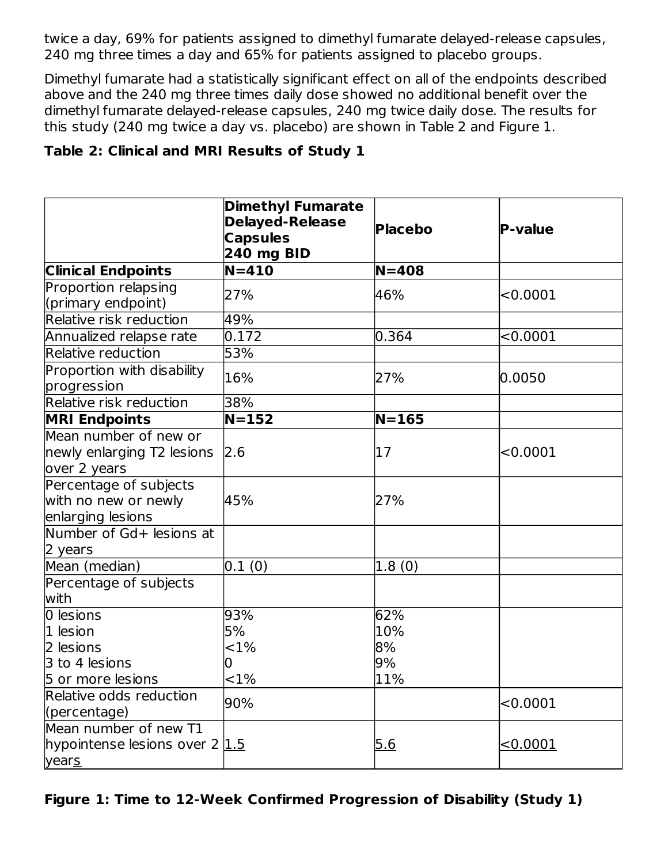twice a day, 69% for patients assigned to dimethyl fumarate delayed-release capsules, 240 mg three times a day and 65% for patients assigned to placebo groups.

Dimethyl fumarate had a statistically significant effect on all of the endpoints described above and the 240 mg three times daily dose showed no additional benefit over the dimethyl fumarate delayed-release capsules, 240 mg twice daily dose. The results for this study (240 mg twice a day vs. placebo) are shown in Table 2 and Figure 1.

### **Table 2: Clinical and MRI Results of Study 1**

|                                                                     | <b>Dimethyl Fumarate</b><br><b>Delayed-Release</b><br><b>Capsules</b><br><b>240 mg BID</b> | <b>Placebo</b> | <b>P-value</b> |
|---------------------------------------------------------------------|--------------------------------------------------------------------------------------------|----------------|----------------|
| <b>Clinical Endpoints</b>                                           | $N = 410$                                                                                  | $N = 408$      |                |
| Proportion relapsing<br>(primary endpoint)                          | 27%                                                                                        | 46%            | < 0.0001       |
| Relative risk reduction                                             | 49%                                                                                        |                |                |
| Annualized relapse rate                                             | 0.172                                                                                      | 0.364          | < 0.0001       |
| Relative reduction                                                  | 53%                                                                                        |                |                |
| Proportion with disability<br>progression                           | 16%                                                                                        | 27%            | 0.0050         |
| Relative risk reduction                                             | 38%                                                                                        |                |                |
| <b>MRI Endpoints</b>                                                | $N = 152$                                                                                  | $N = 165$      |                |
| Mean number of new or<br>newly enlarging T2 lesions<br>over 2 years | 2.6                                                                                        | 17             | < 0.0001       |
| Percentage of subjects<br>with no new or newly<br>enlarging lesions | 45%                                                                                        | 27%            |                |
| Number of Gd+ lesions at<br>2 years                                 |                                                                                            |                |                |
| Mean (median)                                                       | 0.1(0)                                                                                     | 1.8(0)         |                |
| Percentage of subjects<br>with                                      |                                                                                            |                |                |
| 0 lesions<br>1 lesion                                               | 93%<br>5%                                                                                  | 62%<br>10%     |                |
| 2 lesions                                                           | ${<}1\%$                                                                                   | 8%             |                |
| 3 to 4 lesions                                                      | 10                                                                                         | 9%             |                |
| 5 or more lesions<br>Relative odds reduction<br>(percentage)        | ${<}1\%$<br>90%                                                                            | 11%            | < 0.0001       |
| Mean number of new T1<br>hypointense lesions over 2 1.5<br>years    |                                                                                            | 5.6            | < 0.0001       |

**Figure 1: Time to 12-Week Confirmed Progression of Disability (Study 1)**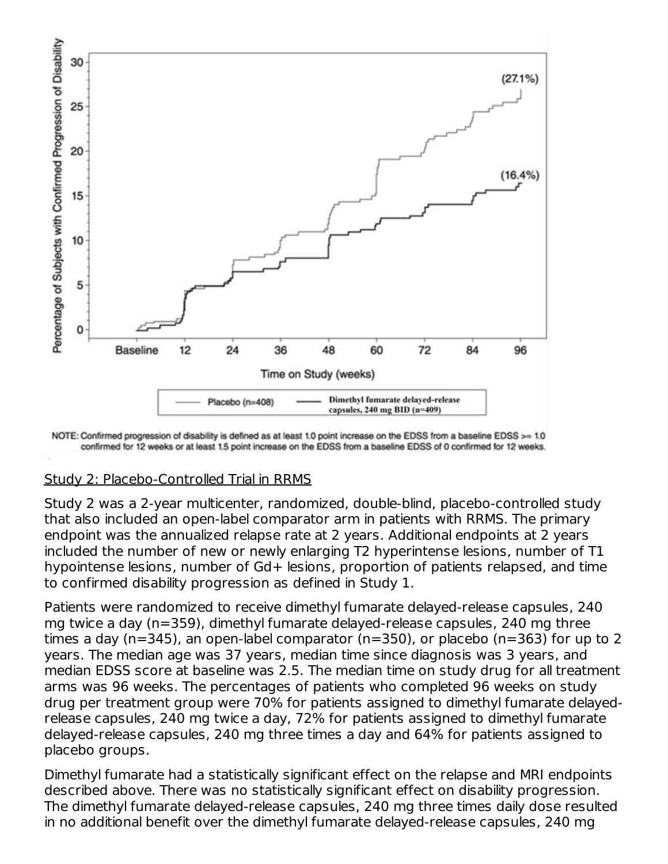

NOTE: Confirmed progression of disability is defined as at least 1.0 point increase on the EDSS from a baseline EDSS >= 1.0 confirmed for 12 weeks or at least 1.5 point increase on the EDSS from a baseline EDSS of 0 confirmed for 12 weeks.

### Study 2: Placebo-Controlled Trial in RRMS

Study 2 was a 2-year multicenter, randomized, double-blind, placebo-controlled study that also included an open-label comparator arm in patients with RRMS. The primary endpoint was the annualized relapse rate at 2 years. Additional endpoints at 2 years included the number of new or newly enlarging T2 hyperintense lesions, number of T1 hypointense lesions, number of Gd+ lesions, proportion of patients relapsed, and time to confirmed disability progression as defined in Study 1.

Patients were randomized to receive dimethyl fumarate delayed-release capsules, 240 mg twice a day (n=359), dimethyl fumarate delayed-release capsules, 240 mg three times a day (n=345), an open-label comparator (n=350), or placebo (n=363) for up to 2 years. The median age was 37 years, median time since diagnosis was 3 years, and median EDSS score at baseline was 2.5. The median time on study drug for all treatment arms was 96 weeks. The percentages of patients who completed 96 weeks on study drug per treatment group were 70% for patients assigned to dimethyl fumarate delayedrelease capsules, 240 mg twice a day, 72% for patients assigned to dimethyl fumarate delayed-release capsules, 240 mg three times a day and 64% for patients assigned to placebo groups.

Dimethyl fumarate had a statistically significant effect on the relapse and MRI endpoints described above. There was no statistically significant effect on disability progression. The dimethyl fumarate delayed-release capsules, 240 mg three times daily dose resulted in no additional benefit over the dimethyl fumarate delayed-release capsules, 240 mg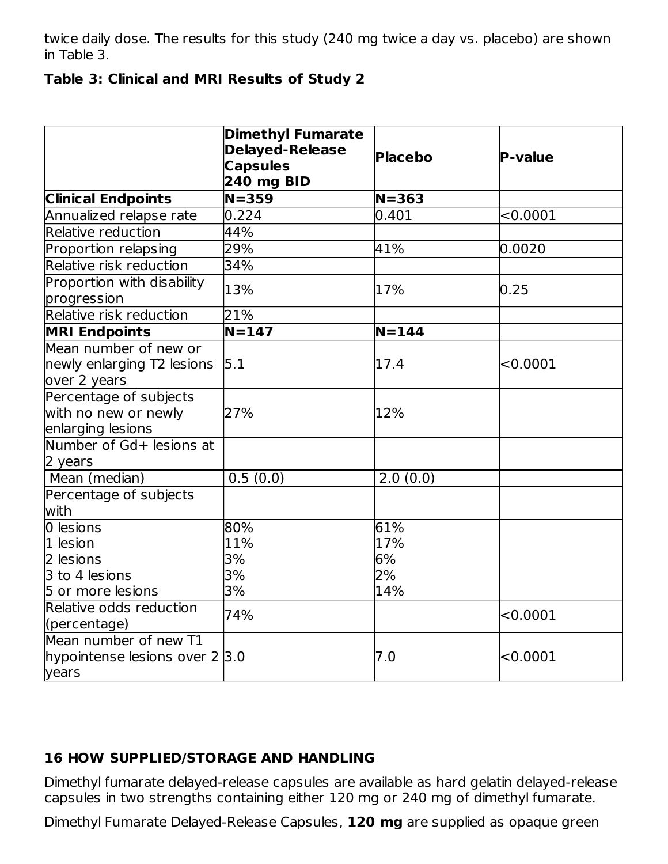twice daily dose. The results for this study (240 mg twice a day vs. placebo) are shown in Table 3.

#### **Table 3: Clinical and MRI Results of Study 2**

|                                                                     | <b>Dimethyl Fumarate</b><br><b>Delayed-Release</b><br><b>Capsules</b><br><b>240 mg BID</b> | <b>Placebo</b> | P-value  |
|---------------------------------------------------------------------|--------------------------------------------------------------------------------------------|----------------|----------|
| <b>Clinical Endpoints</b>                                           | $N = 359$                                                                                  | $N = 363$      |          |
| Annualized relapse rate                                             | 0.224                                                                                      | 0.401          | < 0.0001 |
| Relative reduction                                                  | 44%                                                                                        |                |          |
| Proportion relapsing                                                | 29%                                                                                        | 41%            | 0.0020   |
| <b>Relative risk reduction</b>                                      | 34%                                                                                        |                |          |
| Proportion with disability<br>progression                           | 13%                                                                                        | 17%            | 0.25     |
| Relative risk reduction                                             | 21%                                                                                        |                |          |
| <b>MRI Endpoints</b>                                                | $\overline{N=}147$                                                                         | $N = 144$      |          |
| Mean number of new or<br>newly enlarging T2 lesions<br>over 2 years | 5.1                                                                                        | 17.4           | < 0.0001 |
| Percentage of subjects<br>with no new or newly<br>enlarging lesions | 27%                                                                                        | 12%            |          |
| Number of Gd+ lesions at<br>2 years                                 |                                                                                            |                |          |
| Mean (median)                                                       | 0.5(0.0)                                                                                   | 2.0(0.0)       |          |
| Percentage of subjects<br>with                                      |                                                                                            |                |          |
| 0 lesions                                                           | 80%                                                                                        | 61%            |          |
| $1$ lesion                                                          | 11%                                                                                        | 17%            |          |
| 2 lesions                                                           | 3%                                                                                         | 6%             |          |
| 3 to 4 lesions                                                      | 3%                                                                                         | 2%             |          |
| 5 or more lesions                                                   | 3%                                                                                         | 14%            |          |
| Relative odds reduction<br>(percentage)                             | 74%                                                                                        |                | < 0.0001 |
| Mean number of new T1<br>hypointense lesions over $2 3.0$<br>years  |                                                                                            | 7.0            | < 0.0001 |

### **16 HOW SUPPLIED/STORAGE AND HANDLING**

Dimethyl fumarate delayed-release capsules are available as hard gelatin delayed-release capsules in two strengths containing either 120 mg or 240 mg of dimethyl fumarate.

Dimethyl Fumarate Delayed-Release Capsules, **120 mg** are supplied as opaque green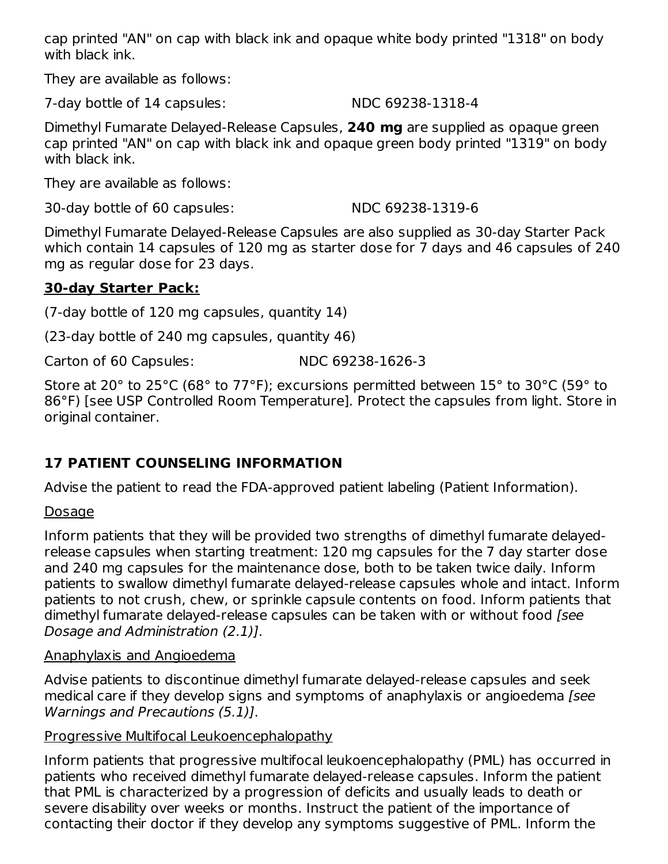cap printed "AN" on cap with black ink and opaque white body printed "1318" on body with black ink.

They are available as follows:

7-day bottle of 14 capsules: NDC 69238-1318-4

Dimethyl Fumarate Delayed-Release Capsules, **240 mg** are supplied as opaque green cap printed "AN" on cap with black ink and opaque green body printed "1319" on body with black ink.

They are available as follows:

30-day bottle of 60 capsules: NDC 69238-1319-6

Dimethyl Fumarate Delayed-Release Capsules are also supplied as 30-day Starter Pack which contain 14 capsules of 120 mg as starter dose for 7 days and 46 capsules of 240 mg as regular dose for 23 days.

### **30-day Starter Pack:**

(7-day bottle of 120 mg capsules, quantity 14)

(23-day bottle of 240 mg capsules, quantity 46)

Carton of 60 Capsules: NDC 69238-1626-3

Store at 20° to 25°C (68° to 77°F); excursions permitted between 15° to 30°C (59° to 86°F) [see USP Controlled Room Temperature]. Protect the capsules from light. Store in original container.

## **17 PATIENT COUNSELING INFORMATION**

Advise the patient to read the FDA-approved patient labeling (Patient Information).

### **Dosage**

Inform patients that they will be provided two strengths of dimethyl fumarate delayedrelease capsules when starting treatment: 120 mg capsules for the 7 day starter dose and 240 mg capsules for the maintenance dose, both to be taken twice daily. Inform patients to swallow dimethyl fumarate delayed-release capsules whole and intact. Inform patients to not crush, chew, or sprinkle capsule contents on food. Inform patients that dimethyl fumarate delayed-release capsules can be taken with or without food [see Dosage and Administration (2.1)].

### Anaphylaxis and Angioedema

Advise patients to discontinue dimethyl fumarate delayed-release capsules and seek medical care if they develop signs and symptoms of anaphylaxis or angioedema [see Warnings and Precautions (5.1)].

### Progressive Multifocal Leukoencephalopathy

Inform patients that progressive multifocal leukoencephalopathy (PML) has occurred in patients who received dimethyl fumarate delayed-release capsules. Inform the patient that PML is characterized by a progression of deficits and usually leads to death or severe disability over weeks or months. Instruct the patient of the importance of contacting their doctor if they develop any symptoms suggestive of PML. Inform the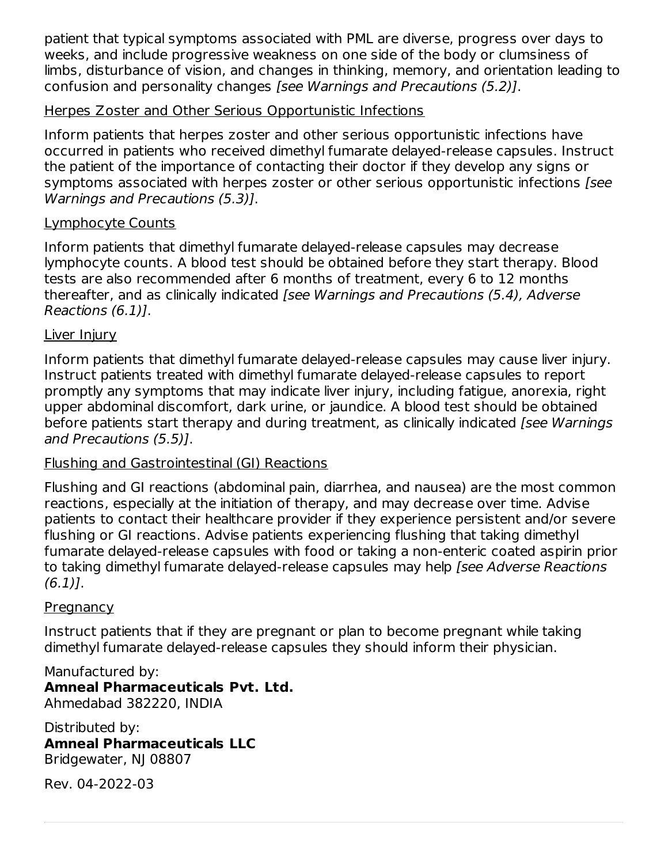patient that typical symptoms associated with PML are diverse, progress over days to weeks, and include progressive weakness on one side of the body or clumsiness of limbs, disturbance of vision, and changes in thinking, memory, and orientation leading to confusion and personality changes [see Warnings and Precautions (5.2)].

#### Herpes Zoster and Other Serious Opportunistic Infections

Inform patients that herpes zoster and other serious opportunistic infections have occurred in patients who received dimethyl fumarate delayed-release capsules. Instruct the patient of the importance of contacting their doctor if they develop any signs or symptoms associated with herpes zoster or other serious opportunistic infections [see Warnings and Precautions (5.3)].

### Lymphocyte Counts

Inform patients that dimethyl fumarate delayed-release capsules may decrease lymphocyte counts. A blood test should be obtained before they start therapy. Blood tests are also recommended after 6 months of treatment, every 6 to 12 months thereafter, and as clinically indicated [see Warnings and Precautions (5.4), Adverse Reactions (6.1)].

### Liver Injury

Inform patients that dimethyl fumarate delayed-release capsules may cause liver injury. Instruct patients treated with dimethyl fumarate delayed-release capsules to report promptly any symptoms that may indicate liver injury, including fatigue, anorexia, right upper abdominal discomfort, dark urine, or jaundice. A blood test should be obtained before patients start therapy and during treatment, as clinically indicated [see Warnings] and Precautions (5.5)].

### Flushing and Gastrointestinal (GI) Reactions

Flushing and GI reactions (abdominal pain, diarrhea, and nausea) are the most common reactions, especially at the initiation of therapy, and may decrease over time. Advise patients to contact their healthcare provider if they experience persistent and/or severe flushing or GI reactions. Advise patients experiencing flushing that taking dimethyl fumarate delayed-release capsules with food or taking a non-enteric coated aspirin prior to taking dimethyl fumarate delayed-release capsules may help [see Adverse Reactions  $(6.1)$ .

### **Pregnancy**

Instruct patients that if they are pregnant or plan to become pregnant while taking dimethyl fumarate delayed-release capsules they should inform their physician.

Manufactured by: **Amneal Pharmaceuticals Pvt. Ltd.** Ahmedabad 382220, INDIA

Distributed by: **Amneal Pharmaceuticals LLC** Bridgewater, NJ 08807

Rev. 04-2022-03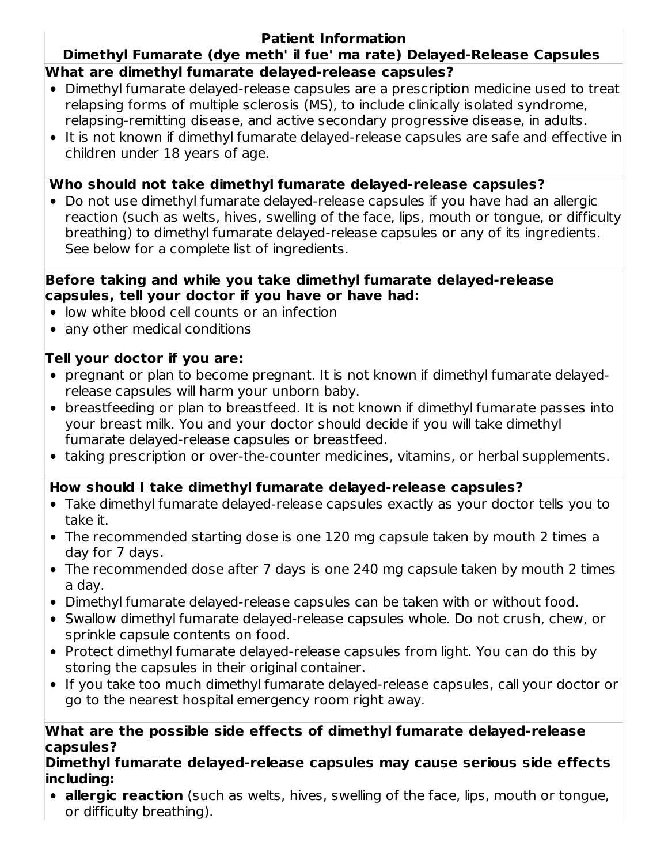### **Patient Information**

### **Dimethyl Fumarate (dye meth' il fue' ma rate) Delayed-Release Capsules What are dimethyl fumarate delayed-release capsules?**

- Dimethyl fumarate delayed-release capsules are a prescription medicine used to treat relapsing forms of multiple sclerosis (MS), to include clinically isolated syndrome, relapsing-remitting disease, and active secondary progressive disease, in adults.
- It is not known if dimethyl fumarate delayed-release capsules are safe and effective in children under 18 years of age.

### **Who should not take dimethyl fumarate delayed-release capsules?**

Do not use dimethyl fumarate delayed-release capsules if you have had an allergic reaction (such as welts, hives, swelling of the face, lips, mouth or tongue, or difficulty breathing) to dimethyl fumarate delayed-release capsules or any of its ingredients. See below for a complete list of ingredients.

#### **Before taking and while you take dimethyl fumarate delayed-release capsules, tell your doctor if you have or have had:**

- low white blood cell counts or an infection
- any other medical conditions

### **Tell your doctor if you are:**

- pregnant or plan to become pregnant. It is not known if dimethyl fumarate delayedrelease capsules will harm your unborn baby.
- breastfeeding or plan to breastfeed. It is not known if dimethyl fumarate passes into your breast milk. You and your doctor should decide if you will take dimethyl fumarate delayed-release capsules or breastfeed.
- taking prescription or over-the-counter medicines, vitamins, or herbal supplements.

### **How should I take dimethyl fumarate delayed-release capsules?**

- Take dimethyl fumarate delayed-release capsules exactly as your doctor tells you to take it.
- The recommended starting dose is one 120 mg capsule taken by mouth 2 times a day for 7 days.
- The recommended dose after 7 days is one 240 mg capsule taken by mouth 2 times a day.
- Dimethyl fumarate delayed-release capsules can be taken with or without food.
- Swallow dimethyl fumarate delayed-release capsules whole. Do not crush, chew, or sprinkle capsule contents on food.
- Protect dimethyl fumarate delayed-release capsules from light. You can do this by storing the capsules in their original container.
- If you take too much dimethyl fumarate delayed-release capsules, call your doctor or go to the nearest hospital emergency room right away.

#### **What are the possible side effects of dimethyl fumarate delayed-release capsules?**

#### **Dimethyl fumarate delayed-release capsules may cause serious side effects including:**

**allergic reaction** (such as welts, hives, swelling of the face, lips, mouth or tongue, or difficulty breathing).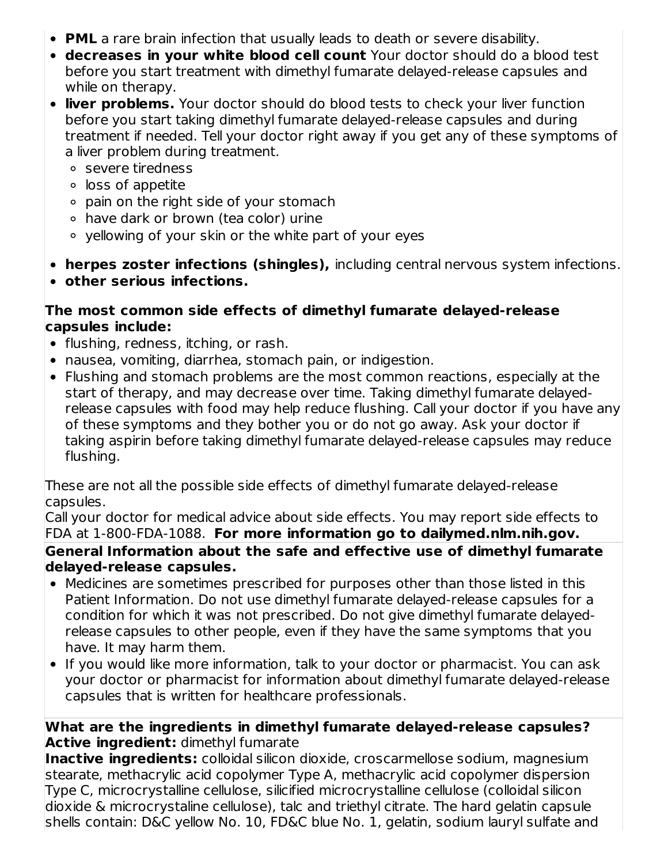- **PML** a rare brain infection that usually leads to death or severe disability.
- **decreases in your white blood cell count** Your doctor should do a blood test before you start treatment with dimethyl fumarate delayed-release capsules and while on therapy.
- **liver problems.** Your doctor should do blood tests to check your liver function before you start taking dimethyl fumarate delayed-release capsules and during treatment if needed. Tell your doctor right away if you get any of these symptoms of a liver problem during treatment.
	- severe tiredness
	- loss of appetite
	- pain on the right side of your stomach
	- have dark or brown (tea color) urine
	- yellowing of your skin or the white part of your eyes
- **herpes zoster infections (shingles),** including central nervous system infections.
- **other serious infections.**

### **The most common side effects of dimethyl fumarate delayed-release capsules include:**

- flushing, redness, itching, or rash.
- nausea, vomiting, diarrhea, stomach pain, or indigestion.
- Flushing and stomach problems are the most common reactions, especially at the start of therapy, and may decrease over time. Taking dimethyl fumarate delayedrelease capsules with food may help reduce flushing. Call your doctor if you have any of these symptoms and they bother you or do not go away. Ask your doctor if taking aspirin before taking dimethyl fumarate delayed-release capsules may reduce flushing.

These are not all the possible side effects of dimethyl fumarate delayed-release capsules.

Call your doctor for medical advice about side effects. You may report side effects to FDA at 1-800-FDA-1088. **For more information go to dailymed.nlm.nih.gov. General Information about the safe and effective use of dimethyl fumarate delayed-release capsules.**

- Medicines are sometimes prescribed for purposes other than those listed in this Patient Information. Do not use dimethyl fumarate delayed-release capsules for a condition for which it was not prescribed. Do not give dimethyl fumarate delayedrelease capsules to other people, even if they have the same symptoms that you have. It may harm them.
- If you would like more information, talk to your doctor or pharmacist. You can ask your doctor or pharmacist for information about dimethyl fumarate delayed-release capsules that is written for healthcare professionals.

### **What are the ingredients in dimethyl fumarate delayed-release capsules? Active ingredient:** dimethyl fumarate

**Inactive ingredients:** colloidal silicon dioxide, croscarmellose sodium, magnesium stearate, methacrylic acid copolymer Type A, methacrylic acid copolymer dispersion Type C, microcrystalline cellulose, silicified microcrystalline cellulose (colloidal silicon dioxide & microcrystaline cellulose), talc and triethyl citrate. The hard gelatin capsule shells contain: D&C yellow No. 10, FD&C blue No. 1, gelatin, sodium lauryl sulfate and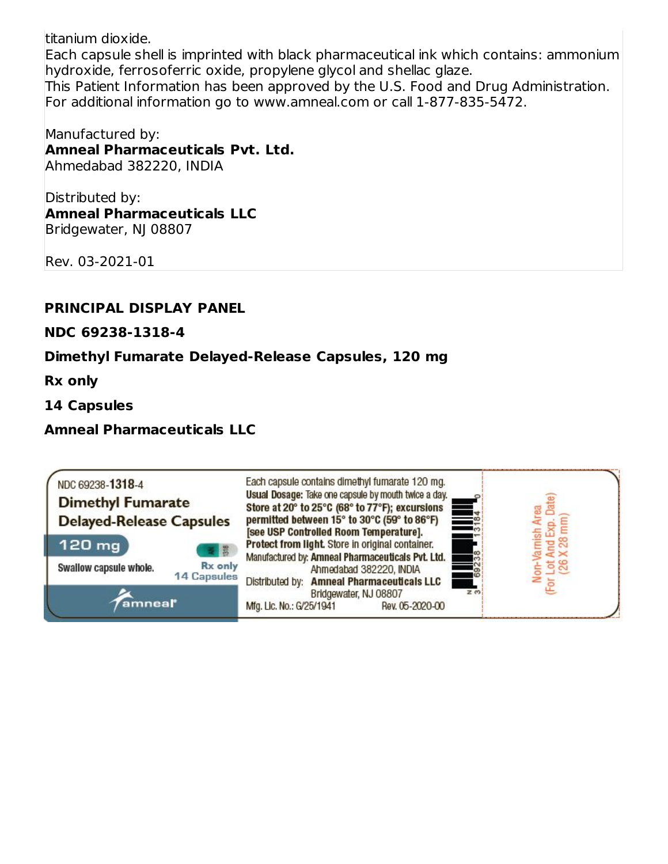titanium dioxide.

Each capsule shell is imprinted with black pharmaceutical ink which contains: ammonium hydroxide, ferrosoferric oxide, propylene glycol and shellac glaze. This Patient Information has been approved by the U.S. Food and Drug Administration. For additional information go to www.amneal.com or call 1-877-835-5472.

Manufactured by: **Amneal Pharmaceuticals Pvt. Ltd.** Ahmedabad 382220, INDIA

Distributed by: **Amneal Pharmaceuticals LLC** Bridgewater, NJ 08807

Rev. 03-2021-01

#### **PRINCIPAL DISPLAY PANEL**

**NDC 69238-1318-4**

#### **Dimethyl Fumarate Delayed-Release Capsules, 120 mg**

**Rx only**

**14 Capsules**

**Amneal Pharmaceuticals LLC**

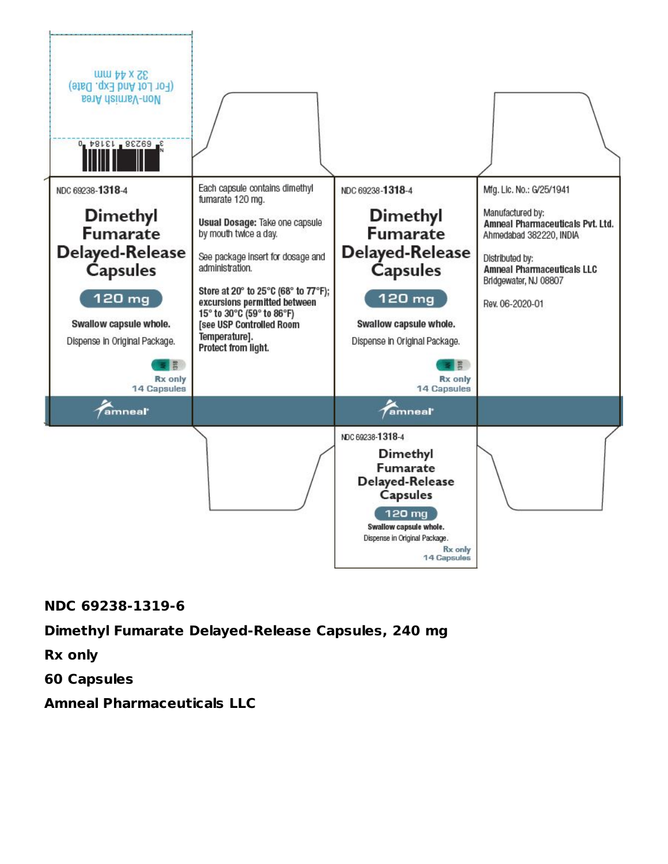

#### **NDC 69238-1319-6**

#### **Dimethyl Fumarate Delayed-Release Capsules, 240 mg**

**Rx only**

**60 Capsules**

**Amneal Pharmaceuticals LLC**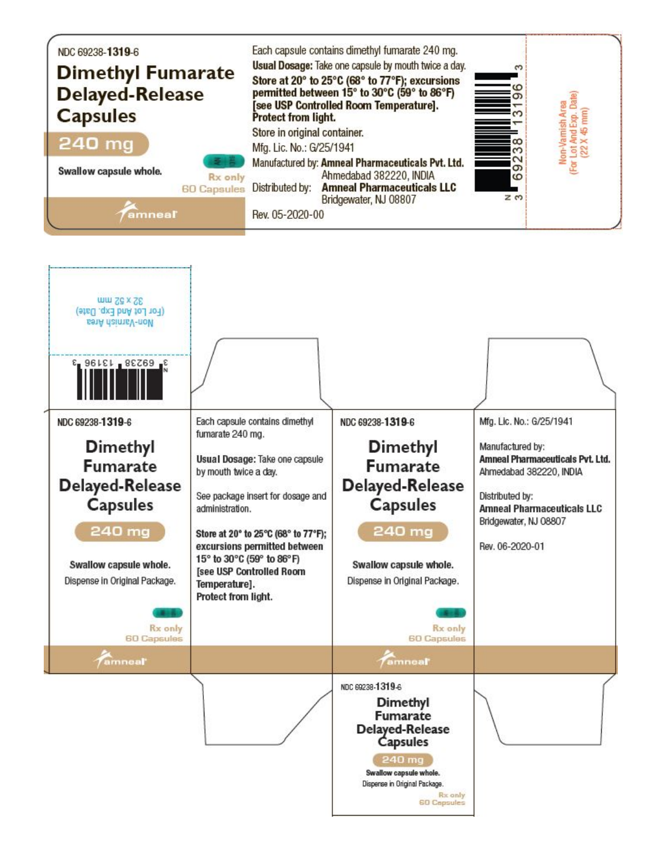

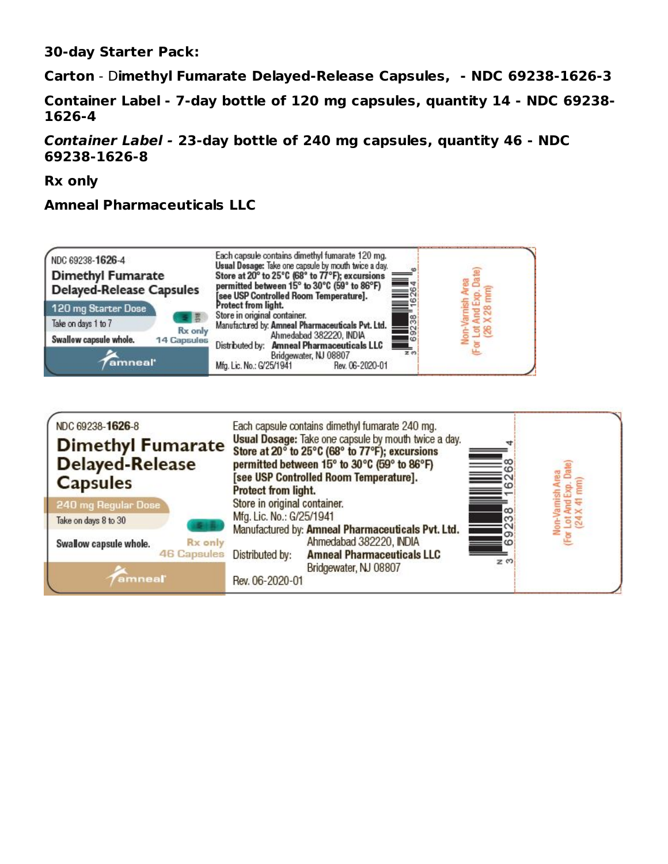**30-day Starter Pack:**

**Carton** - D**imethyl Fumarate Delayed-Release Capsules, - NDC 69238-1626-3**

**Container Label - 7-day bottle of 120 mg capsules, quantity 14 - NDC 69238- 1626-4**

**Container Label - 23-day bottle of 240 mg capsules, quantity 46 - NDC 69238-1626-8**

**Rx only**

### **Amneal Pharmaceuticals LLC**



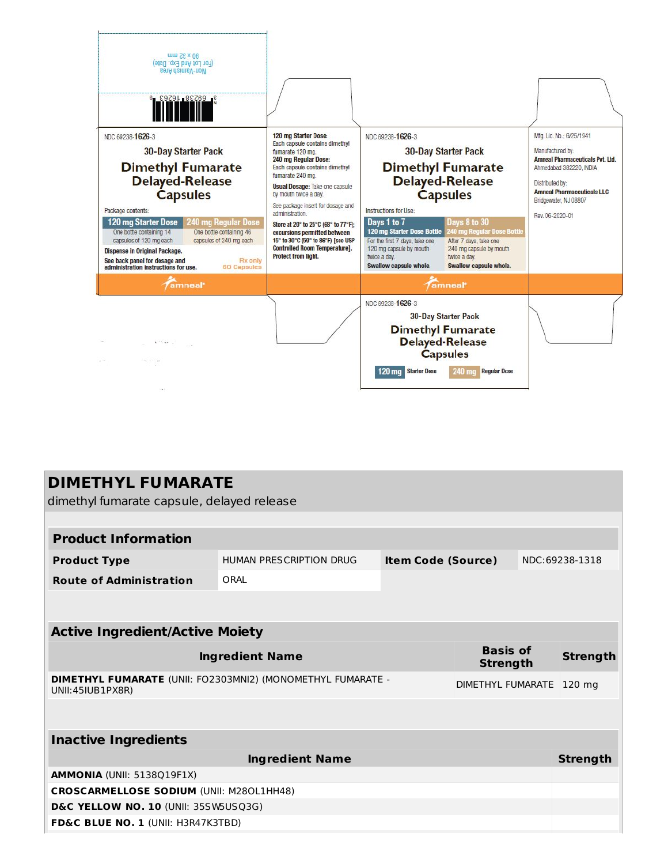

|                                                                                 | <b>DIMETHYL FUMARATE</b> |                           |                                    |  |                 |  |
|---------------------------------------------------------------------------------|--------------------------|---------------------------|------------------------------------|--|-----------------|--|
| dimethyl fumarate capsule, delayed release                                      |                          |                           |                                    |  |                 |  |
|                                                                                 |                          |                           |                                    |  |                 |  |
| <b>Product Information</b>                                                      |                          |                           |                                    |  |                 |  |
| <b>Product Type</b>                                                             | HUMAN PRESCRIPTION DRUG  | <b>Item Code (Source)</b> |                                    |  | NDC:69238-1318  |  |
| <b>Route of Administration</b>                                                  | ORAL                     |                           |                                    |  |                 |  |
|                                                                                 |                          |                           |                                    |  |                 |  |
|                                                                                 |                          |                           |                                    |  |                 |  |
| <b>Active Ingredient/Active Moiety</b>                                          |                          |                           |                                    |  |                 |  |
|                                                                                 | <b>Ingredient Name</b>   |                           | <b>Basis of</b><br><b>Strength</b> |  | <b>Strength</b> |  |
| DIMETHYL FUMARATE (UNII: FO2303MNI2) (MONOMETHYL FUMARATE -<br>UNII:45IUB1PX8R) |                          |                           | DIMETHYL FUMARATE                  |  | $120$ mg        |  |
|                                                                                 |                          |                           |                                    |  |                 |  |
|                                                                                 |                          |                           |                                    |  |                 |  |
| <b>Inactive Ingredients</b>                                                     |                          |                           |                                    |  |                 |  |
|                                                                                 | <b>Ingredient Name</b>   |                           |                                    |  | <b>Strength</b> |  |
| <b>AMMONIA (UNII: 5138Q19F1X)</b>                                               |                          |                           |                                    |  |                 |  |
| <b>CROSCARMELLOSE SODIUM (UNII: M280L1HH48)</b>                                 |                          |                           |                                    |  |                 |  |
| D&C YELLOW NO. 10 (UNII: 35SW5USQ3G)                                            |                          |                           |                                    |  |                 |  |
| FD&C BLUE NO. 1 (UNII: H3R47K3TBD)                                              |                          |                           |                                    |  |                 |  |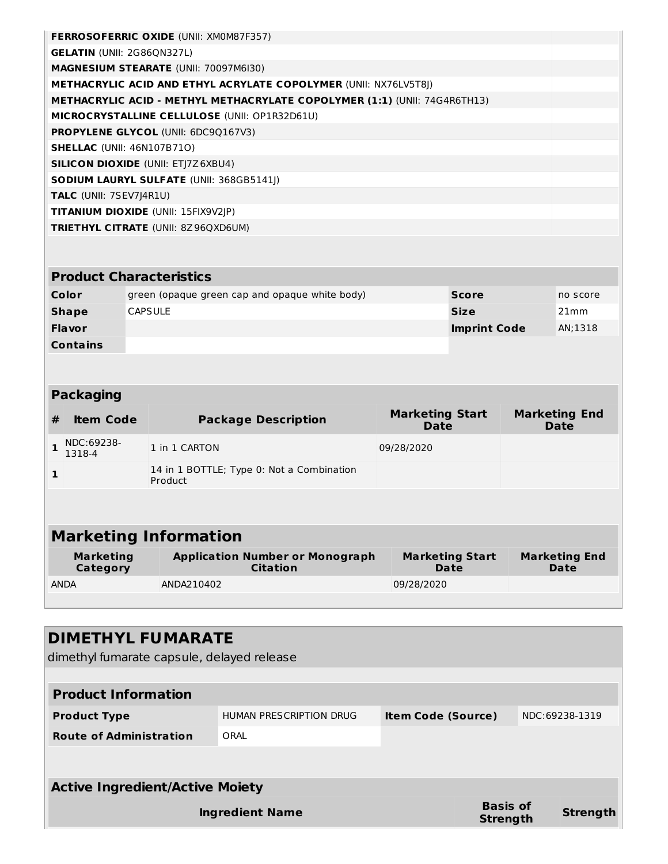| <b>FERROSOFERRIC OXIDE (UNII: XMOM87F357)</b>                                    |  |
|----------------------------------------------------------------------------------|--|
| <b>GELATIN (UNII: 2G86ON327L)</b>                                                |  |
| <b>MAGNESIUM STEARATE (UNII: 70097M6I30)</b>                                     |  |
| <b>METHACRYLIC ACID AND ETHYL ACRYLATE COPOLYMER (UNII: NX76LV5T8I)</b>          |  |
| <b>METHACRYLIC ACID - METHYL METHACRYLATE COPOLYMER (1:1) (UNII: 74G4R6TH13)</b> |  |
| <b>MICROCRYSTALLINE CELLULOSE (UNII: OP1R32D61U)</b>                             |  |
| <b>PROPYLENE GLYCOL (UNII: 6DC9Q167V3)</b>                                       |  |
| <b>SHELLAC</b> (UNII: 46N107B71O)                                                |  |
| <b>SILICON DIOXIDE (UNII: ETI7Z6XBU4)</b>                                        |  |
| <b>SODIUM LAURYL SULFATE (UNII: 368GB5141I)</b>                                  |  |
| <b>TALC</b> (UNII: 7SEV7 4R1U)                                                   |  |
| <b>TITANIUM DIOXIDE (UNII: 15FIX9V2IP)</b>                                       |  |
| <b>TRIETHYL CITRATE (UNII: 8Z96QXD6UM)</b>                                       |  |
|                                                                                  |  |

| <b>Product Characteristics</b> |                                                |                     |          |  |
|--------------------------------|------------------------------------------------|---------------------|----------|--|
| Color                          | green (opaque green cap and opaque white body) | <b>Score</b>        | no score |  |
| <b>Shape</b>                   | <b>CAPSULE</b>                                 | <b>Size</b>         | 21mm     |  |
| <b>Flavor</b>                  |                                                | <b>Imprint Code</b> | AN;1318  |  |
| <b>Contains</b>                |                                                |                     |          |  |

| <b>Packaging</b>             |                      |                                                      |                                |                              |  |  |
|------------------------------|----------------------|------------------------------------------------------|--------------------------------|------------------------------|--|--|
| #                            | <b>Item Code</b>     | <b>Package Description</b>                           | <b>Marketing Start</b><br>Date | <b>Marketing End</b><br>Date |  |  |
|                              | NDC:69238-<br>1318-4 | 1 in 1 CARTON                                        | 09/28/2020                     |                              |  |  |
| $\mathbf{1}$                 |                      | 14 in 1 BOTTLE; Type 0: Not a Combination<br>Product |                                |                              |  |  |
|                              |                      |                                                      |                                |                              |  |  |
| <b>Marketing Information</b> |                      |                                                      |                                |                              |  |  |
|                              | <b>Marketing</b>     | <b>Application Number or Monograph</b>               | <b>Marketing Start</b>         | <b>Marketing End</b>         |  |  |

| Marketing<br>Category | Application Number or Monograph<br><b>Citation</b> | Marketing Start<br>Date | Marketing End<br>Date |
|-----------------------|----------------------------------------------------|-------------------------|-----------------------|
| <b>ANDA</b>           | ANDA210402                                         | 09/28/2020              |                       |
|                       |                                                    |                         |                       |

| <b>DIMETHYL FUMARATE</b><br>dimethyl fumarate capsule, delayed release |                         |                           |                             |  |                |
|------------------------------------------------------------------------|-------------------------|---------------------------|-----------------------------|--|----------------|
| <b>Product Information</b>                                             |                         |                           |                             |  |                |
| <b>Product Type</b>                                                    | HUMAN PRESCRIPTION DRUG | <b>Item Code (Source)</b> |                             |  | NDC:69238-1319 |
| <b>Route of Administration</b>                                         | ORAL                    |                           |                             |  |                |
|                                                                        |                         |                           |                             |  |                |
| <b>Active Ingredient/Active Moiety</b>                                 |                         |                           |                             |  |                |
| Ingredient Name                                                        |                         |                           | <b>Basis of</b><br>Strength |  | Strength       |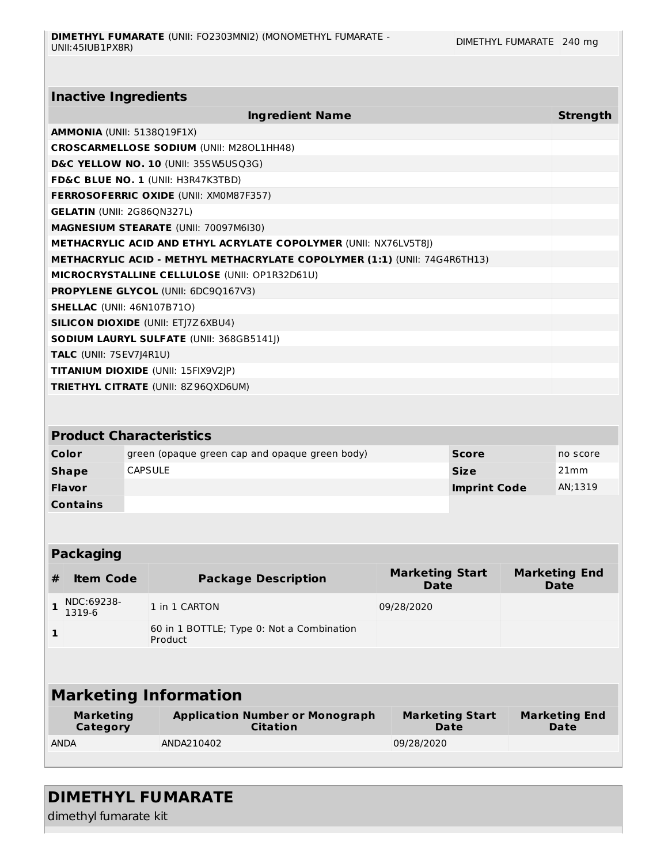| <b>Inactive Ingredients</b>       |                                                                           |              |                 |
|-----------------------------------|---------------------------------------------------------------------------|--------------|-----------------|
|                                   | <b>Ingredient Name</b>                                                    |              | <b>Strength</b> |
| AMMONIA (UNII: 5138Q19F1X)        |                                                                           |              |                 |
|                                   | <b>CROSCARMELLOSE SODIUM (UNII: M280L1HH48)</b>                           |              |                 |
|                                   | D&C YELLOW NO. 10 (UNII: 35SW5USQ3G)                                      |              |                 |
|                                   | <b>FD&amp;C BLUE NO. 1 (UNII: H3R47K3TBD)</b>                             |              |                 |
|                                   | <b>FERROSOFERRIC OXIDE (UNII: XMOM87F357)</b>                             |              |                 |
| <b>GELATIN (UNII: 2G86QN327L)</b> |                                                                           |              |                 |
|                                   | <b>MAGNESIUM STEARATE (UNII: 70097M6I30)</b>                              |              |                 |
|                                   | <b>METHACRYLIC ACID AND ETHYL ACRYLATE COPOLYMER (UNII: NX76LV5T8I)</b>   |              |                 |
|                                   | METHACRYLIC ACID - METHYL METHACRYLATE COPOLYMER (1:1) (UNII: 74G4R6TH13) |              |                 |
|                                   | MICROCRYSTALLINE CELLULOSE (UNII: OP1R32D61U)                             |              |                 |
|                                   | <b>PROPYLENE GLYCOL (UNII: 6DC90167V3)</b>                                |              |                 |
| <b>SHELLAC (UNII: 46N107B710)</b> |                                                                           |              |                 |
|                                   | <b>SILICON DIOXIDE (UNII: ETI7Z6XBU4)</b>                                 |              |                 |
|                                   | <b>SODIUM LAURYL SULFATE (UNII: 368GB5141I)</b>                           |              |                 |
| TALC (UNII: 7SEV7J4R1U)           |                                                                           |              |                 |
|                                   | <b>TITANIUM DIOXIDE (UNII: 15FIX9V2JP)</b>                                |              |                 |
|                                   | <b>TRIETHYL CITRATE (UNII: 8Z96QXD6UM)</b>                                |              |                 |
|                                   |                                                                           |              |                 |
|                                   | <b>Product Characteristics</b>                                            |              |                 |
| Color                             | green (opaque green cap and opaque green body)                            | <b>Score</b> | no score        |

| COIOL           | green (opaque green cap and opaque green bouy) | <b>Score</b>        | TIU SCUTE |
|-----------------|------------------------------------------------|---------------------|-----------|
| <b>Shape</b>    | CAPSULE                                        | <b>Size</b>         | 21mm      |
| <b>Flavor</b>   |                                                | <b>Imprint Code</b> | AN;1319   |
| <b>Contains</b> |                                                |                     |           |

## **Packaging**

| # | <b>Item Code</b>     | <b>Package Description</b>                           | <b>Marketing Start</b><br><b>Date</b> | <b>Marketing End</b><br><b>Date</b> |
|---|----------------------|------------------------------------------------------|---------------------------------------|-------------------------------------|
|   | NDC:69238-<br>1319-6 | 1 in 1 CARTON                                        | 09/28/2020                            |                                     |
|   |                      | 60 in 1 BOTTLE; Type 0: Not a Combination<br>Product |                                       |                                     |
|   |                      |                                                      |                                       |                                     |

# **Marketing Information**

| Marketing<br>Category | <b>Application Number or Monograph</b><br><b>Citation</b> | <b>Marketing Start</b><br>Date | <b>Marketing End</b><br>Date |
|-----------------------|-----------------------------------------------------------|--------------------------------|------------------------------|
| <b>ANDA</b>           | ANDA210402                                                | 09/28/2020                     |                              |
|                       |                                                           |                                |                              |

# **DIMETHYL FUMARATE**

dimethyl fumarate kit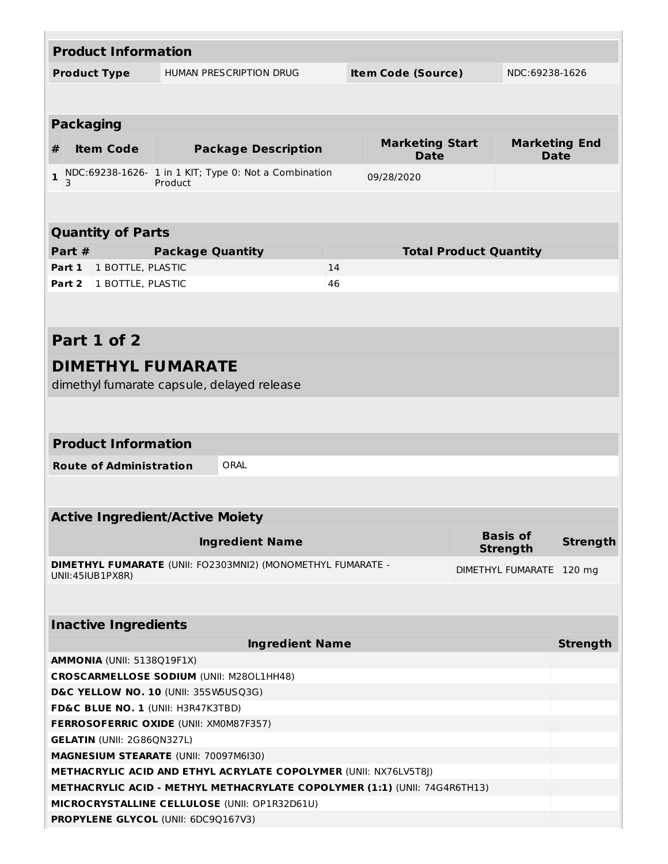| <b>Product Information</b>                                                 |                         |                                                             |    |                                       |  |                                     |                 |
|----------------------------------------------------------------------------|-------------------------|-------------------------------------------------------------|----|---------------------------------------|--|-------------------------------------|-----------------|
| <b>Product Type</b>                                                        |                         | <b>HUMAN PRESCRIPTION DRUG</b>                              |    | <b>Item Code (Source)</b>             |  | NDC:69238-1626                      |                 |
|                                                                            |                         |                                                             |    |                                       |  |                                     |                 |
|                                                                            |                         |                                                             |    |                                       |  |                                     |                 |
| <b>Packaging</b>                                                           |                         |                                                             |    |                                       |  |                                     |                 |
| <b>Item Code</b><br>#                                                      |                         | <b>Package Description</b>                                  |    | <b>Marketing Start</b><br><b>Date</b> |  | <b>Marketing End</b><br><b>Date</b> |                 |
| $\mathbf{1}$<br>3                                                          | Product                 | NDC:69238-1626- 1 in 1 KIT; Type 0: Not a Combination       |    | 09/28/2020                            |  |                                     |                 |
|                                                                            |                         |                                                             |    |                                       |  |                                     |                 |
|                                                                            |                         |                                                             |    |                                       |  |                                     |                 |
| <b>Quantity of Parts</b>                                                   |                         |                                                             |    |                                       |  |                                     |                 |
| Part #                                                                     | <b>Package Quantity</b> |                                                             |    | <b>Total Product Quantity</b>         |  |                                     |                 |
| Part 1<br>1 BOTTLE, PLASTIC                                                |                         |                                                             | 14 |                                       |  |                                     |                 |
| Part 2<br>1 BOTTLE, PLASTIC                                                |                         |                                                             | 46 |                                       |  |                                     |                 |
|                                                                            |                         |                                                             |    |                                       |  |                                     |                 |
|                                                                            |                         |                                                             |    |                                       |  |                                     |                 |
| Part 1 of 2                                                                |                         |                                                             |    |                                       |  |                                     |                 |
| <b>DIMETHYL FUMARATE</b>                                                   |                         |                                                             |    |                                       |  |                                     |                 |
| dimethyl fumarate capsule, delayed release                                 |                         |                                                             |    |                                       |  |                                     |                 |
|                                                                            |                         |                                                             |    |                                       |  |                                     |                 |
|                                                                            |                         |                                                             |    |                                       |  |                                     |                 |
| <b>Product Information</b>                                                 |                         |                                                             |    |                                       |  |                                     |                 |
| <b>Route of Administration</b>                                             |                         | ORAL                                                        |    |                                       |  |                                     |                 |
|                                                                            |                         |                                                             |    |                                       |  |                                     |                 |
|                                                                            |                         |                                                             |    |                                       |  |                                     |                 |
| <b>Active Ingredient/Active Moiety</b>                                     |                         |                                                             |    |                                       |  |                                     |                 |
|                                                                            |                         |                                                             |    |                                       |  | <b>Basis of</b>                     |                 |
|                                                                            |                         | <b>Ingredient Name</b>                                      |    |                                       |  | <b>Strength</b>                     | <b>Strength</b> |
|                                                                            |                         | DIMETHYL FUMARATE (UNII: FO2303MNI2) (MONOMETHYL FUMARATE - |    |                                       |  | DIMETHYL FUMARATE   120 mg          |                 |
| UNII: 45IUB1PX8R)                                                          |                         |                                                             |    |                                       |  |                                     |                 |
|                                                                            |                         |                                                             |    |                                       |  |                                     |                 |
| <b>Inactive Ingredients</b>                                                |                         |                                                             |    |                                       |  |                                     |                 |
|                                                                            |                         | <b>Ingredient Name</b>                                      |    |                                       |  |                                     | <b>Strength</b> |
| <b>AMMONIA (UNII: 5138Q19F1X)</b>                                          |                         |                                                             |    |                                       |  |                                     |                 |
| <b>CROSCARMELLOSE SODIUM (UNII: M280L1HH48)</b>                            |                         |                                                             |    |                                       |  |                                     |                 |
|                                                                            |                         |                                                             |    |                                       |  |                                     |                 |
| D&C YELLOW NO. 10 (UNII: 35SW5USQ3G)<br>FD&C BLUE NO. 1 (UNII: H3R47K3TBD) |                         |                                                             |    |                                       |  |                                     |                 |
| FERROSOFERRIC OXIDE (UNII: XM0M87F357)                                     |                         |                                                             |    |                                       |  |                                     |                 |
| <b>GELATIN (UNII: 2G86QN327L)</b>                                          |                         |                                                             |    |                                       |  |                                     |                 |
| MAGNESIUM STEARATE (UNII: 70097M6I30)                                      |                         |                                                             |    |                                       |  |                                     |                 |
| <b>METHACRYLIC ACID AND ETHYL ACRYLATE COPOLYMER (UNII: NX76LV5T8J)</b>    |                         |                                                             |    |                                       |  |                                     |                 |
| METHACRYLIC ACID - METHYL METHACRYLATE COPOLYMER (1:1) (UNII: 74G4R6TH13)  |                         |                                                             |    |                                       |  |                                     |                 |
| MICROCRYSTALLINE CELLULOSE (UNII: OP1R32D61U)                              |                         |                                                             |    |                                       |  |                                     |                 |
| PROPYLENE GLYCOL (UNII: 6DC9Q167V3)                                        |                         |                                                             |    |                                       |  |                                     |                 |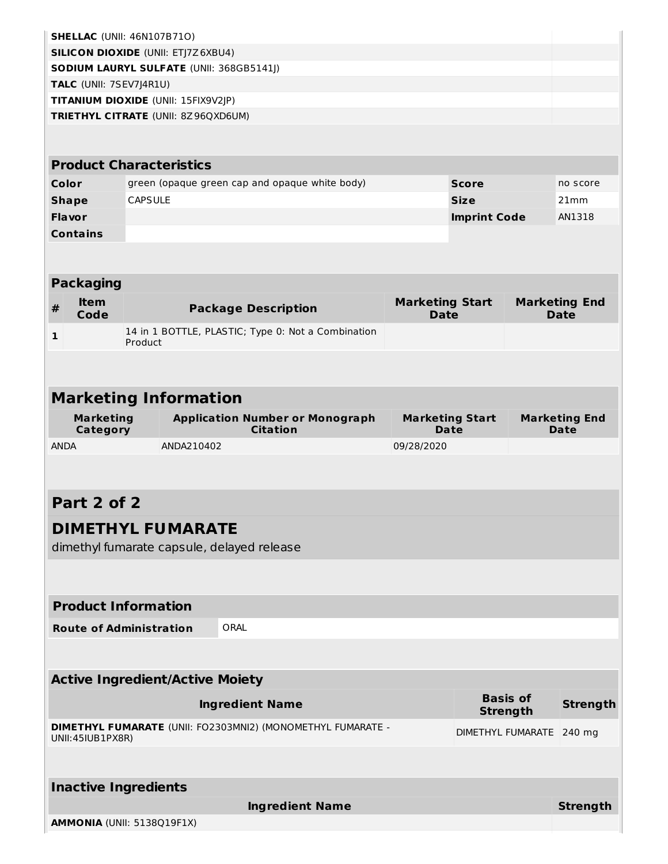| <b>SHELLAC</b> (UNII: 46N107B71O)         |                                        |                                                             |                                       |                     |                 |                                     |
|-------------------------------------------|----------------------------------------|-------------------------------------------------------------|---------------------------------------|---------------------|-----------------|-------------------------------------|
| <b>SILICON DIOXIDE (UNII: ETJ7Z6XBU4)</b> |                                        |                                                             |                                       |                     |                 |                                     |
| SODIUM LAURYL SULFATE (UNII: 368GB5141J)  |                                        |                                                             |                                       |                     |                 |                                     |
| TALC (UNII: 7SEV7J4R1U)                   |                                        |                                                             |                                       |                     |                 |                                     |
|                                           | TITANIUM DIOXIDE (UNII: 15FIX9V2JP)    |                                                             |                                       |                     |                 |                                     |
|                                           | TRIETHYL CITRATE (UNII: 8Z96QXD6UM)    |                                                             |                                       |                     |                 |                                     |
|                                           |                                        |                                                             |                                       |                     |                 |                                     |
|                                           | <b>Product Characteristics</b>         |                                                             |                                       |                     |                 |                                     |
| Color                                     |                                        | green (opaque green cap and opaque white body)              |                                       | <b>Score</b>        |                 | no score                            |
| <b>Shape</b>                              | <b>CAPSULE</b>                         |                                                             |                                       | <b>Size</b>         |                 | 21mm                                |
| <b>Flavor</b>                             |                                        |                                                             |                                       | <b>Imprint Code</b> |                 | AN1318                              |
| <b>Contains</b>                           |                                        |                                                             |                                       |                     |                 |                                     |
|                                           |                                        |                                                             |                                       |                     |                 |                                     |
|                                           |                                        |                                                             |                                       |                     |                 |                                     |
| <b>Packaging</b><br><b>Item</b>           |                                        |                                                             |                                       |                     |                 |                                     |
| $\#$<br>Code                              |                                        | <b>Package Description</b>                                  | <b>Marketing Start</b><br><b>Date</b> |                     |                 | <b>Marketing End</b><br><b>Date</b> |
| 1                                         |                                        | 14 in 1 BOTTLE, PLASTIC; Type 0: Not a Combination          |                                       |                     |                 |                                     |
|                                           | Product                                |                                                             |                                       |                     |                 |                                     |
|                                           |                                        |                                                             |                                       |                     |                 |                                     |
|                                           |                                        |                                                             |                                       |                     |                 |                                     |
|                                           | <b>Marketing Information</b>           |                                                             |                                       |                     |                 |                                     |
| <b>Marketing</b><br>Category              |                                        | <b>Application Number or Monograph</b><br><b>Citation</b>   | <b>Marketing Start</b><br><b>Date</b> |                     |                 | <b>Marketing End</b><br>Date        |
| <b>ANDA</b>                               | ANDA210402                             |                                                             | 09/28/2020                            |                     |                 |                                     |
|                                           |                                        |                                                             |                                       |                     |                 |                                     |
|                                           |                                        |                                                             |                                       |                     |                 |                                     |
| Part 2 of 2                               |                                        |                                                             |                                       |                     |                 |                                     |
|                                           | <b>DIMETHYL FUMARATE</b>               |                                                             |                                       |                     |                 |                                     |
|                                           |                                        | dimethyl fumarate capsule, delayed release                  |                                       |                     |                 |                                     |
|                                           |                                        |                                                             |                                       |                     |                 |                                     |
|                                           |                                        |                                                             |                                       |                     |                 |                                     |
| <b>Product Information</b>                |                                        |                                                             |                                       |                     |                 |                                     |
| <b>Route of Administration</b>            |                                        | ORAL                                                        |                                       |                     |                 |                                     |
|                                           |                                        |                                                             |                                       |                     |                 |                                     |
|                                           |                                        |                                                             |                                       |                     |                 |                                     |
|                                           | <b>Active Ingredient/Active Moiety</b> |                                                             |                                       |                     |                 |                                     |
|                                           |                                        | <b>Ingredient Name</b>                                      |                                       |                     | <b>Basis of</b> | <b>Strength</b>                     |
|                                           |                                        |                                                             |                                       |                     | <b>Strength</b> |                                     |
| UNII:45IUB1PX8R)                          |                                        | DIMETHYL FUMARATE (UNII: FO2303MNI2) (MONOMETHYL FUMARATE - |                                       | DIMETHYL FUMARATE   |                 | $240$ mg                            |
|                                           |                                        |                                                             |                                       |                     |                 |                                     |
|                                           |                                        |                                                             |                                       |                     |                 |                                     |
| <b>Inactive Ingredients</b>               |                                        |                                                             |                                       |                     |                 |                                     |
|                                           |                                        |                                                             |                                       |                     |                 |                                     |
|                                           |                                        | <b>Ingredient Name</b>                                      |                                       |                     |                 | <b>Strength</b>                     |